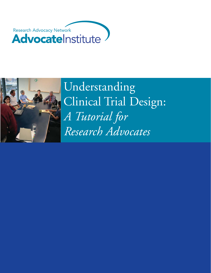



Understanding Clinical Trial Design: *A Tutorial for Research Advocates*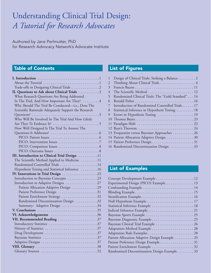# Understanding Clinical Trial Design: *A Tutorial for Research Advocates*

Authored by Jane Perlmutter, PhD for Research Advocacy Network's Advocate Institute

### Table of Contents

| II. Questions to Ask about Clinical Trials 3         |
|------------------------------------------------------|
| What Research Questions Are Being Addressed          |
| In The Trial, And How Important Are They? 4          |
| Why Should The Trial Be Conducted-i.e., Does The     |
| Scientific Rationale Adequately Support the Research |
|                                                      |
| Who Will Be Involved In The Trial And How Likely     |
|                                                      |
| How Well Designed Is The Trial To Answer The         |
|                                                      |
|                                                      |
|                                                      |
|                                                      |
|                                                      |
| III. Introduction to Clinical Trial Design 11        |
| The Scientific Method Applied to Medicine 11         |
| Randomized Controlled Trials 14                      |
| Hypothesis Testing and Statistical Inference 16      |
|                                                      |
| Introduction to Bayesian Concepts 23                 |
| Introduction to Adaptive Designs 27                  |
| Patient Allocation Adaptive Design 29                |
| Patient Preference Design 31                         |
| Patient Enrichment Strategy 32                       |
| Randomized Discontinuation Design 32                 |
| Summary: Adaptive Design 34                          |
|                                                      |
| VI. Acknowledgements 36                              |
| VII. Recommended Reading 37                          |
|                                                      |
|                                                      |
| Drug Development 37                                  |
|                                                      |
|                                                      |
|                                                      |
|                                                      |

### List of Figures

|   | Design of Clinical Trials: Striking a Balance 2    |
|---|----------------------------------------------------|
| 2 |                                                    |
| 3 |                                                    |
| 4 | The Scientific Method  12                          |
| 5 | Randomized Clinical Trials: The "Gold Standard" 14 |
| 6 |                                                    |
| 7 | Introduction of Randomized Controlled Trials 17    |
| 8 | Statistical Inference in Hypothesis Testing  18    |
| 9 |                                                    |
|   |                                                    |
|   |                                                    |
|   |                                                    |
|   | 13 Frequentist versus Bayesian Approaches 26       |
|   | 14 Patient Allocation Adaptive Design. 30          |
|   |                                                    |
|   | 16 Randomized Discontinuation Design33             |
|   |                                                    |

### List of Examples

| Concept Development Example 12                |
|-----------------------------------------------|
| Experimental Design (PICO) Example 13         |
|                                               |
|                                               |
|                                               |
|                                               |
| Statistical Inference Example  18             |
|                                               |
|                                               |
|                                               |
| Bayesian Clinical Trial Example  26           |
|                                               |
|                                               |
| Patient Allocation Adaptive Design Example 29 |
| Patient Preference Design Example31           |
| Patient Enrichment Example  32                |
| Randomized Discontinuation Design Example 33  |
|                                               |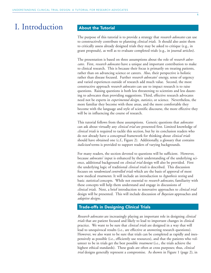### I. Introduction

#### About the Tutorial

The purpose of this tutorial is to provide a strategy that *research advocates* can use to constructively contribute to planning *clinical trials*. It should also assist them to critically assess already designed trials they may be asked to critique (e.g., in grant proposals), as well as to evaluate completed trials (e.g., in journal articles).

The presentation is based on three assumptions about the role of *research advocates*. First, *research advocates* have a unique and important contribution to make to clinical research. This is because their focus is primarily on treating patients, rather than on advancing science or careers. Also, their perspective is holistic rather than disease focused. Further *research advocates*' energy, sense of urgency and varied experiences outside of research add much value. Second, the most constructive approach *research advocates* can use to impact research is to raise questions. Raising questions is both less threatening to scientists and less daunting to advocates than providing suggestions. Third, effective research advocates need not be experts in *experimental design*, *statistics*, or science. Nevertheless, the more familiar they become with these areas, and the more comfortable they become with the language and style of scientific discourse, the more effective they will be in influencing the course of research.

This tutorial follows from these assumptions. Generic questions that *advocates* can ask about virtually any *clinical trial* are presented first. Limited knowledge of *clinical trials* is required to tackle this section, but by its conclusion readers who do not already have a conceptual framework for thinking about *clinical trials* should have obtained one (c.f., Figure 2). Additionally, a glossary that contains *italicized* terms is provided to support readers of varying backgrounds.

For many readers, the section devoted to questions will be sufficient. However, because *advocates*' input is enhanced by their understanding of the underlying science, additional background on *clinical trial* design will also be provided. First the underlying logic of traditional *clinical trials* is described. This discussion focuses on *randomized controlled trials* which are the basis of approval of most new medical *treatments*. It will include an introduction to *hypothesis testing* and basic *statistical* concepts. While not essential to *research advocates*, familiarity with these concepts will help them understand and engage in discussions of *clinical trials*. Next, a brief introduction to innovative approaches to *clinical trial* design will be presented. This will include discussion of *Bayesian* approaches and *adaptive designs*.

#### Trade-offs in Designing Clinical Trials

*Research advocates* are increasingly playing an important role in designing *clinical trials* that are patient focused and likely to lead to important changes in clinical practice. We want to be sure that *clinical trials* are designed in a way that will lead to unequivocal results (i.e., are effective at answering research questions). However, we also want to be sure that trials can be completed as rapidly and inexpensively as possible (i.e., efficiently use resources), and that the patients who volunteer to be in trials get the best possible *treatment* (i.e., the trials achieve the highest ethical standards). These goals are often at cross purposes; thus, *clinical trial* designs generally represent a compromise. As shown in Figure 1 (page 2), in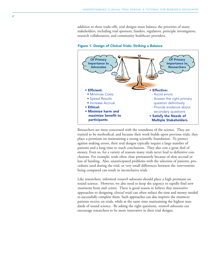addition to these trade-offs, trial designs must balance the priorities of many stakeholders, including trial sponsors, funders, regulators, principle investigators, research collaborators, and community healthcare providers.



Figure 1. Design of Clinical Trials: Striking a Balance

• Speed Results • Increase Accrual

participants

• Minimize harm and maximize benefit to

• Ethical:

Researchers are most concerned with the soundness of the science. They are trained to be methodical, and because their work builds upon previous trials, they place a premium on maintaining a strong scientific foundation. To protect against making errors, their trial designs typically require a large number of patients and a long time to reach conclusions. They also cost a great deal of money. Even so, for a variety of reasons many trials never lead to definitive conclusions. For example, trials often close prematurely because of slow accrual or loss of funding. Also, unanticipated problems with the selection of patients, procedures used during the trial, or very small differences between the *interventions* being compared can result in inconclusive trials

- Answer the right primary question definitively - Provide evidence about secondary questions • Satisfy the Needs of Multiple Stakeholders

Like researchers, informed *research advocates* should place a high premium on sound science. However, we also need to keep the urgency to rapidly find new *treatments* front and center. There is good reason to believe that innovative approaches to designing *clinical trials* can often reduce the time and money needed to successfully complete them. Such approaches can also improve the *treatment* patients receive on trials, while at the same time maintaining the highest standards of sound science. By asking the right questions, *research advocates* can encourage researchers to be more innovative in their trial designs.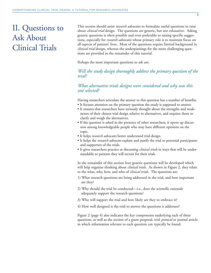### II. Questions to Ask About Clinical Trials

This section should assist *research advocates* to formulate useful questions to raise about *clinical trial* design. The questions are generic, but not exhaustive. Asking generic questions is often possible and even preferable to raising specific suggestions, especially for *research advocates* whose primary role is to maintain focus on all aspects of patients' lives. Most of the questions require limited background in *clinical trial* design, whereas the underpinnings for the more challenging questions are provided in the remainder of this tutorial.

Perhaps the most important questions to ask are:

### *Will the study design thoroughly address the primary question of the trial?*

*What alternative trials designs were considered and why was this one selected?*

Having researchers articulate the answer to this question has a number of benefits.

- It focuses attention on the primary question the study is supposed to answer.
- It ensures that researchers have seriously thought about the strengths and weaknesses of their chosen trial design relative to alternatives, and requires them to clarify and weigh the alternatives.
- If the question is asked in the presence of other researchers, it opens up discussion among knowledgeable people who may have different opinions on the topic.
- It helps *research advocates* better understand trial design.
- It helps the *research advocate* explain and justify the trial to potential participants and supporters of the trials.
- It gives researchers practice at discussing *clinical trials* in ways that will be understandable to patients they will recruit for their trials.

In the remainder of this section four generic questions will be developed which will help organize thinking about *clinical trials*. As shown in Figure 2, they relate to the what, why, how, and who of *clinical trials*. The questions are:

- 1) What research questions are being addressed in the trial, and how important are they?
- 2) Why should the trial be conducted—i.e., does the scientific rationale adequately support the research questions?
- 3) Who will support the trial and how likely are they to embrace it?
- 4) How well designed is the trial to answer the questions it addresses?

Figure 2 (page 4) also indicates the key components underlying each of these questions, as well as the section of a grant proposal, trial *protocol* or journal article in which information relevant to each question can typically be found.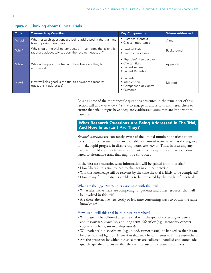| <b>Topic</b> | <b>Over-Arching Question</b>                                                                                         | <b>Key Components</b>                                                                     | <b>Where Addressed</b> |
|--------------|----------------------------------------------------------------------------------------------------------------------|-------------------------------------------------------------------------------------------|------------------------|
| What?        | What research questions are being addressed in the trial, and<br>how important are they?                             | • Historical Context<br>• Clinical Importance                                             | Aims                   |
| Why?         | Why should the trial be conducted - i.e., does the scientific<br>rationale adequately support the research question? | • Pre-trial Data<br>• Biologic Processes                                                  | Background             |
| Who?         | Who will support the trial and how likely are they to<br>embrace it?                                                 | · Physician's Perspective<br>• Clinical Sites<br>• Patient Accrual<br>• Patient Retention | Appendix               |
| How?         | How well designed is the trial to answer the research<br>questions it addresses?                                     | • Patients<br>• Intervention<br>• Comparison or Control<br>$\bullet$ Outcome              | Method                 |

#### Figure 2. Thinking about Clinical Trials

Raising some of the more specific questions presented in the remainder of this section will allow *research advocates* to engage in discussions with researchers to ensure that trial designs have adequately addressed issues that are important to patients.

#### What Research Questions Are Being Addressed In The Trial, And How Important Are They?

*Research advocates* are constantly aware of the limited number of patient volunteers and other resources that are available for *clinical trials*, as well as the urgency to make rapid progress in discovering better *treatments*. Thus, in assessing any trial, we should try to determine its potential to change clinical practice, compared to alternative trials that might be conducted.

In the best case scenario, what information will be gained from this trial?

- How likely is this trial to lead to changes in clinical practice?
- Will this knowledge still be relevant by the time the trial is likely to be completed?
- How many future patients are likely to be impacted by the results of this trial?

#### What are the *opportunity* costs associated with this trial?

- What alternative trials are competing for patients and other resources that will be involved in this trial?
- Are there alternative, less costly or less time consuming ways to obtain the same knowledge?

#### How useful will this trial be to future researchers?

- Will patients be followed after the trial with the goal of collecting evidence about *secondary endpoints*, and long-term *side effects* (e.g., secondary cancers, cognitive deficits, survivorship issues)?
- Will patients' bio-specimens (e.g., blood, tumor tissue) be banked so that it can be used to shed light on *biomarkers* that may be of interest to future researchers?
- Are the processes by which bio-specimens are collected, handled and stored adequately specified to ensure that they will be useful to future researchers?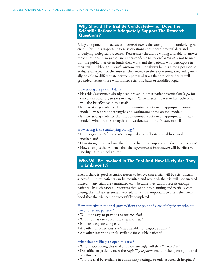#### Why Should The Trial Be Conducted—i.e., Does The Scientific Rationale Adequately Support The Research Questions?

A key component of success of a *clinical trial* is the strength of the underlying science. Thus, it is important to raise questions about both pre-trial data and underlying biological processes. Researchers should be willing and able to answer these questions in ways that are understandable to *research advocates*, not to mention the public that often funds their work and the patients who participate in their trials. Although *research advocates* will not always be in a strong position to evaluate all aspects of the answers they receive to these questions, they will generally be able to differentiate between potential trials that are scientifically wellgrounded, versus those with limited scientific basis or muddled logic.

#### How strong are pre-trial data?

- Has this *intervention* already been proven in other patient *populations* (e.g., for cancers in other organ sites or stages)? What makes the researchers believe it will also be effective in this trial?
- Is there strong evidence that the *intervention* works in an appropriate animal model? What are the strengths and weaknesses of the animal model?
- Is there strong evidence that the *intervention* works in an appropriate *in vitro* model? What are the strengths and weaknesses of the *in vitro* model?

#### How strong is the underlying biology?

- Is the *experimental intervention* targeted at a well established biological mechanism?
- How strong is the evidence that this mechanism is important to the disease process?
- How strong is the evidence that the *experimental intervention* will be effective in modifying this mechanism?

#### Who Will Be Involved In The Trial And How Likely Are They To Embrace It?

Even if there is good scientific reason to believe that a trial will be scientifically successful, unless patients can be recruited and retained, the trial will not succeed. Indeed, many trials are terminated early because they cannot recruit enough patients. In such cases all resources that went into planning and partially completing the trial are essentially wasted. Thus, it is important to assess the likelihood that the trial can be successfully completed.

#### How attractive is the trial *protocol* from the point of view of physicians who are likely to recruit patients?

- Will it be easy to provide the *intervention*?
- Will it be easy to collect the required data?
- Is there adequate compensation?
- Are other effective *interventions* available for eligible patients?
- Are other interesting trials available for eligible patients?

#### What sites are likely to open this trial?

- Who is sponsoring this trial and how strongly will they "market" it?
- Do sufficient patients meet the *eligibility requirements* to make opening the trial worthwhile?
- Will the trial be available in community settings, or only at research hospitals?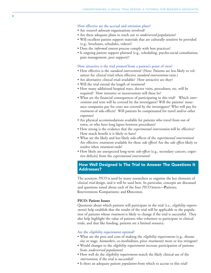#### How effective are the accrual and retention plans?

- Are *research advocate* organizations involved?
- Are there adequate plans to reach out to *underserved* populations?
- Will excellent patient support materials that are culturally sensitive be provided (e.g., brochures, schedules, videos)?
- Does the *informed consent* process comply with best practices?
- Is ongoing patient support planned (e.g., scheduling, psycho-social consultation, pain management, peer support)?

#### How attractive is the trial *protocol* from a patient's point of view?

- How effective is the *standard intervention*? (Note: Patients are less likely to volunteer for *clinical trials* when effective *standard interventions* exist.)
- Are alternative *clinical trials* available? How attractive are they?
- Will the trial extend the length of *treatment*?
- How many additional hospital stays, doctor visits, procedures, etc. will be required? How intrusive or inconvenient will these be?
- What are the financial consequences of participating in this trial? Which *interventions* and tests will be covered by the investigator? Will the patients' insurance companies pay for costs not covered by the investigator? Who will pay for *treatment* of side-effects? Will patients be compensated for travel and/or other expenses?
- Are physical accommodations available for patients who travel from out of town, or who have long lapses between procedures?
- How strong is the evidence that the *experimental intervention* will be effective? How much benefit is it likely to have?
- What are the likely and less likely side-effects of the *experimental intervention* ? Are effective *treatments* available for these *side effects*? Are the *side effects* likely to resolve when *treatment* ends?
- How likely are unexpected long-term *side-effects* (e.g., secondary cancers, cognitive deficits) from the *experimental intervention*?

#### How Well Designed Is The Trial to Answer The Questions It Addresses?

The acronym *PICO* is used by many researchers to organize the key elements of *clinical trial* design, and it will be used here. In particular, concepts are discussed and questions raised about each of the four *PICO* letters— **P**atients; **I**nterventions; **C**omparisons; and **O**utcomes.

#### **PICO: Patient Issues**

Questions about which patients will participate in the trial (i.e., *eligibility requirements*) help establish that the results of the trial will be applicable to the population of patients whose *treatment* is likely to change if the trial is successful. They also help highlight the value of patients who volunteer to participate in clinical trials, and that like funding, patients are a limited resource.

#### Are the *eligibility requirements* optimal?

- What are the pros and cons of making the *eligibility requirements* (e.g., disease site or stage, *biomarkers*, co-morbidities, prior *treatments*) more or less stringent?
- Would changes to the *eligibility requirements* increase participation of patients from *underserved populations* ?
- How well do the *eligibility requirements* match the likely clinical use of the *intervention*, if the trial is successful?
- Is there an adequate patient *population* from which to accrue to this trial?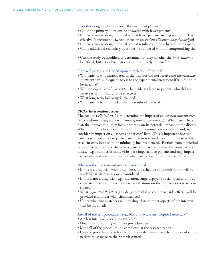#### Does this design make the most efficient use of patients?

- Could the primary questions be answered with fewer patients?
- Is there a way to design the trial so that fewer patients are exposed to the less effective *interventions* (cf., section below on *patient allocation adaptive design*)?
- Is there a way to design the trial so that results could be achieved more rapidly?
- Could additional secondary questions be addressed without compromising the study?
- Can the study be modified to determine not only whether the *intervention* is beneficial, but also which patients are most likely to benefit?

#### How will patients be treated upon completion of the trial?

- Will patients who participated in the trial but did not receive the *experimental treatment* have subsequent access to the experimental treatment if it is found to be effective?
- Will the *experimental intervention* be made available to patients who did not receive it, if it is found to be effective?
- What long-term follow-up is planned?
- Will patients be informed about the results of the trial?

#### **PICO: Intervention Issues**

The goal of a *clinical trial* is to determine the impact of an *experimental intervention* (used interchangeably with *investigational intervention*). When researchers plan the intervention, they focus primarily on its potential impact on the disease. When research advocates think about the *intervention*, on the other hand, we consider its impact on all aspects of patients' lives. This is important because patients who volunteer to participate in *clinical trials* deserve not only to receive excellent care, but also to be minimally inconvenienced. Further, from a practical point of view, aspects of the *intervention* that may have limited relevance to the disease (e.g., number of clinic visits), are important to patients and may impact trial accrual and retention, both of which are crucial for the success of trials.

#### Why was the *experimental intervention* selected?

- If this is a drug trial, what drug, dose, and schedule of administration will be used? What alternatives were considered?
- If this is not a drug trial (e.g., radiation, surgery, psycho-social, quality of life , correlative science intervention) what variations on the interventions were considered?
- What *supportive therapies* (i.e., drugs provided to counteract side effects) will be provided and under what circumstances?
- Under what circumstances will the drug dose or other aspects of the intervention be modified?

#### Are all of the test procedures (e.g., blood draws, scans, biopsies) necessary?

- Are less intrusive procedures available?
- How time consuming will these procedures be?
- Must all of the procedures be completed at the research center?
- Can the procedures be scheduled in a way that minimizes the number of trips a patient must make to the research center?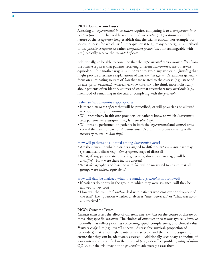#### **PICO: Comparison Issues**

Assessing an *experimental intervention* requires comparing it to a *comparison intervention* (used interchangeably with *control intervention*). Questions about the nature of the *comparison* help establish that the trial is ethical. For example, for serious diseases for which useful therapies exist (e.g., many cancers), it is unethical to use *placebo comparisons*; rather *comparison groups* (used interchangeably with *arm*) typically receive the *standard of care*.

Additionally, to be able to conclude that the *experimental intervention* differs from the *control* requires that patients receiving different *interventions* are otherwise equivalent. Put another way, it is important to avoid any *bias* or *confounding* that might provide alternative explanations of *intervention effects*. Researchers generally focus on eliminating sources of *bias* that are related to the disease (e.g., stage of disease, prior *treatment*), whereas *research advocates* who think more holistically about patients often identify sources of *bias* that researchers may overlook (e.g., likelihood of remaining in the trial or complying with the *protocol*).

#### Is the *control intervention* appropriate?

- Is there a *standard of care* that will be prescribed, or will physicians be allowed to choose among *interventions* ?
- Will researchers, health care providers, or patients know to which *intervention arm* patients were assigned (i.e., Is there *blinding*)?
- Will tests be performed on patients in both the *experimental* and *control arms*, even if they are not part of *standard care*? (Note: This provision is typically necessary to ensure *blinding*.)

#### How will patients be allocated among *intervention arms* ?

- Are there ways in which patients assigned to different *interventions arms* may systematically differ (e.g., *demographics*, stage of disease)?
- What, if any, patient attributes (e.g., gender, disease site or stage) will be *stratified*? How were these factors chosen?
- What *demographic* and baseline *variables* will be measured to ensure that all groups were indeed equivalent?

#### How will data be analyzed when the standard *protocol* is not followed?

- If patients do poorly in the group to which they were assigned, will they be allowed to *crossover*?
- How will the *statistical analysis* deal with patients who crossover or drop-out of the trial? (i.e., question whether analysis is "intent-to-treat" or "what was actually received.")

#### **PICO: Outcome Issues**

*Clinical trials* assess the effect of different *interventions* on the course of disease by measuring specific *outcomes*. The choices of *outcomes* or *endpoints* typically involve trade-offs that reflect priorities concerning speed, completeness, and clinical value. *Primary endpoints* (e.g., overall survival, disease free survival, proportion of responders) that are of highest interest are selected and the trial is designed to ensure that they can be adequately assessed. Additionally, secondary endpoints of lesser interest are specified in the protocol (e.g., side-effect profile, *quality of life*— QOL), but the trial may not be *powered* to adequately assess them.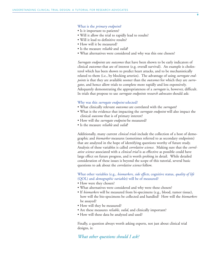#### What is the *primary endpoint*?

- Is it important to patients?
- Will it allow the trial to rapidly lead to results?
- Will it lead to definitive results?
- How will it be measured?
- Is the measure *reliable* and *valid*?
- What alternatives were considered and why was this one chosen?

*Surrogate endpoints* are *outcomes* that have been shown to be early indicators of clinical *outcomes* that are of interest (e.g. overall survival). An example is cholesterol which has been shown to predict heart attacks, and to be mechanistically related to them (i.e., by blocking arteries). The advantage of using *surrogate endpoints* is that they are available sooner than the *outcomes* for which they are *surrogates,* and hence allow trials to complete more rapidly and less expensively. Adequately demonstrating the appropriateness of a *surrogate* is, however, difficult. In trials that propose to use *surrogate endpoints research advocates* should ask:

#### Why was this *surrogate endpoint* selected?

- What clinically relevant *outcomes* are correlated with the *surrogate*?
- What is the evidence that impacting the *surrogate endpoint* will also impact the clinical *outcome* that is of primary interest?
- How will the *surrogate endpoint* be measured?
- Is the measure *reliable* and *valid*?

Additionally, many current *clinical trials* include the collection of a host of demographic and *biomarker* measures (sometimes referred to as secondary endpoints) that are analyzed in the hope of identifying questions worthy of future study. Analysis of these variables is called *correlative science*. Making sure that the *correlative science* associated with a *clinical trial* is as effective as possible could have large effect on future progress, and is worth probing in detail. While detailed consideration of these issues is beyond the scope of this tutorial, several basic questions to ask about the *correlative science* follow.

What other variables (e.g., *biomarkers, side effects*, cognitive status, *quality of life* (QOL) and *demographic variables*) will be of measured?

- How were they chosen?
- What alternatives were considered and why were these chosen?
- If *biomarkers* will be measured from bi-specimens (e.g., blood, tumor tissue), how will the bio-specimens be collected and handled? How will the *biomarkers* be assayed?
- How will they be measured?
- Are these measures *reliable*, *valid*, and clinically important?
- How will these data be analyzed and used?

Finally, a question always worth asking experts, not just about clinical trial designs, is:

*What other questions should I ask?*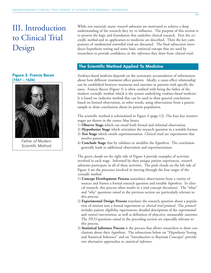# III. Introduction to Clinical Trial Design

#### Figure 3. Francis Bacon (1561 – 1626)



Father of Modern Scientific Method

While not essential, many *research advocates* are motivated to achieve a deep understanding of the research they try to influence. The purpose of this section is to present the logic and foundation that underlies clinical research. First the *scientific method* and its application to medicine are described. Then the key components of *randomized controlled trials* are discussed. The final subsection introduces hypothesis testing and some basic *statistical concepts* that are used by researchers to provide confidence in the *inferences* they draw from *clinical trials.*

#### The Scientific Method Applied To Medicine

*Evidence-based medicine* depends on the systematic accumulation of information about how different *treatments* affect patients. Ideally, a cause-effect relationship can be established between *treatments* and *outcomes* in patients with specific diseases. Francis Bacon (Figure 3) is often credited with being the father of the modern *scientific method*, which is the system underlying *evidence-based medicine.* It is based on *inductive methods* that can be used to draw general conclusions based on limited observation, in other words, using observations from a patient sample to draw conclusions about its patient population.

The scientific method is schematized in Figure 4 (page 12). The four key iterative stages are shown in the center, blue boxes:

- 1) **Observe Stage** which can entail both formal and informal observation.
- 2) **Hypothesize Stage** which articulates the research question in a testable format.
- 3) **Test Stage** which entails experimentation. *Clinical trials* are experiments that involve patients.
- 4) **Conclude Stage** that by validates or modifies the *hypothesis*. The conclusion generally leads to additional observation and experimentation.

The green clouds on the right side of Figure 4 provide examples of activities involved in each stage. Informed by their unique patient experiences, *research advocates* participate in all of these activities. The pink clouds on the left side of Figure 4 are the processes involved in moving through the four stages of the *scientific method*.

- 1) **Concept Development Process** assimilates observations from a variety of sources and frames a formal research question and testable *hypothesis*. In clinical research, this process often results in a trial concept document. The "what" and "why" questions raised in the previous section are particularly relevant to this process.
- 2) **Experimental Design Process** translates the research question about a population of interest into a formal experiment or *clinical trial protocol*. The *protocol* includes patient *eligibility requirements*, detailed descriptions of the *experimental* and *control interventions*, as well as definition of objective, measurable *outcomes*. The *PICO* questions raised in the preceding section are especially relevant to this process.
- 3) **Statistical Inference Process** is the process that allows researchers to draw conclusions about their *hypotheses*. The subsections below on "Hypothesis Testing and Statistical Inference" and on "Introduction to Bayesian Concepts" provide two alternative approaches to *statistical inference*.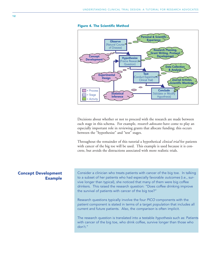

#### Figure 4. The Scientific Method

Decisions about whether or not to proceed with the research are made between each stage in this schema. For example, *research advocates* have come to play an especially important role in reviewing grants that allocate funding; this occurs between the "hypothesize" and "test" stages.

Throughout the remainder of this tutorial a hypothetical *clinical trial* for patients with cancer of the big toe will be used. This example is used because it is concrete, but avoids the distractions associated with more realistic trials.

#### Concept Development Example

Consider a clinician who treats patients with cancer of the big toe. In talking to a subset of her patients who had especially favorable outcomes (i.e., survive longer than typical), she noticed that many of them were big coffee drinkers. This raised the research question: "Does coffee drinking improve the survival of patients with cancer of the big toe?"

Research questions typically involve the four PICO components with the patient component is stated in terms of a target population that includes all current and future patients. Also, the comparison is often implicit.

The research question is translated into a testable hypothesis such as: Patients with cancer of the big toe, who drink coffee, survive longer than those who don't."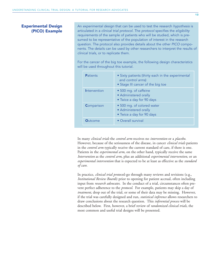#### Experimental Design (PICO) Example

An experimental design that can be used to test the research hypothesis is articulated in a clinical trial protocol. The protocol specifies the eligibility requirements of the sample of patients who will be studied, which is presumed to be representative of the population of interest in the research question. The protocol also provides details about the other PICO components. The details can be used by other researchers to interpret the results of clinical trials, or to replicate them.

For the cancer of the big toe example, the following design characteristics will be used throughout this tutorial.

| <b>Patients</b> | • Sixty patients (thirty each in the experimental<br>and control arms)<br>• Stage III cancer of the big toe |
|-----------------|-------------------------------------------------------------------------------------------------------------|
| Intervention    | • 500 mg. of caffeine<br>• Administered orally<br>• Twice a day for 90 days                                 |
| Comparison      | • 500 mg. of colored water<br>• Administered orally<br>• Twice a day for 90 days                            |
| <b>Outcome</b>  | • Overall survival                                                                                          |

In many *clinical trials* the *control arm* receives no *intervention* or a *placebo*. However, because of the seriousness of the disease, in cancer *clinical trials* patients in the *control arm* typically receive the current standard of care, if there is one. Patients in the *experimental arm*, on the other hand, typically receive the same *Intervention* as the *control arm*, plus an additional *experimental intervention*, or an *experimental intervention* that is expected to be at least as effective as the *standard of care*.

In practice, *clinical trial protocols* go through many reviews and revisions (e.g., *Institutional Review Boards*) prior to opening for patient accrual, often including input from *research advocates*. In the conduct of a trial, circumstances often prevent perfect adherence to the *protocol*. For example, patients may skip a day of *treatment*, drop out of the trial, or some of their data may be missing. However, if the trial was carefully designed and run, *statistical inference* allows researchers to draw conclusions about the research question. This *inferential process* will be described below. First, however, a brief review of *randomized clinical trials*, the most common and useful trial designs will be presented.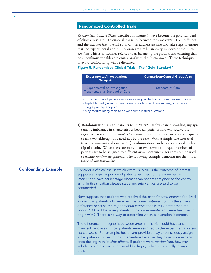#### Randomized Controlled Trials

*Randomized Control Trials*, described in Figure 5, have become the gold standard of clinical research. To establish causality between the *intervention* (i.e., caffeine) and the *outcome* (i.e., overall survival), researchers assume and take steps to ensure that the experimental and *control arms* are similar in every way except the *interventions*. This is sometimes referred to as balancing the groups, and ensuring that no superfluous variables are *confounded* with the *intervention*. Three techniques to avoid confounding will be discussed.

#### Figure 5. Randomized Clinical Trials: The "Gold Standard"

| <b>Experimental/Investigational</b><br><b>Group Arm</b>                                                                                                                                                                                                 | <b>Comparison/Control Group Arm</b> |  |
|---------------------------------------------------------------------------------------------------------------------------------------------------------------------------------------------------------------------------------------------------------|-------------------------------------|--|
| Experimental or Investigation<br>Treatment, plus Standard of Care                                                                                                                                                                                       | Standard of Care                    |  |
| • Equal number of patients randomly assigned to two or more treatment arms<br>• Triple blinded (patients, healthcare providers, and researchers), if possible<br>• Single primary endpoint<br>• May require many trials to answer complicated questions |                                     |  |

1) **Randomization** assigns patients to *treatment arms* by chance, avoiding any systematic imbalance in characteristics between patients who will receive the *experimental* versus the *control intervention*. Usually patients are assigned equally to all *arms*, although this need not be the case. With a simple two-*arm* trial (one *experimental* and one *control*) randomization can be accomplished with a flip of a coin. When there are more than two *arms*, or unequal numbers of patients are to be assigned to different *arms*, computer algorithms can be used to ensure *random* assignment. The following example demonstrates the importance of *randomization*.

Consider a clinical trial in which overall survival is the outcome of interest. Suppose a large proportion of patients assigned to the experimental intervention have earlier-stage disease than patients assigned to the control arm. In this situation disease stage and intervention are said to be confounded.

> Now suppose that patients who received the experimental intervention lived longer than patients who received the control intervention. Is the survival difference because the experimental intervention is truly better than the control? Or is it because patients in the experimental arm were healthier to begin with? There is no-way to determine which explanation is correct.

> The difference in prognosis between arms in this trial could have arisen from many subtle biases in how patients were assigned to the experimental versus control arms. For example, healthcare providers may unconsciously assign sicker patients to the control intervention because they have more experience dealing with its side-effects. If patients were randomized, however, imbalances in disease stage would be highly unlikely, especially in large trials.

#### Confounding Example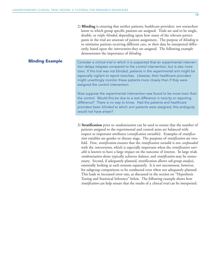Blinding Example

2) **Blinding** is ensuring that neither patients, healthcare providers, nor researchers know to which group specific patients are assigned. Trials are said to be single, double, or triple *blinded*, depending upon how many of the relevant participants in the trial are unaware of patient assignment. The purpose of *blinding* is to minimize patients receiving different care, or their data be interpreted differently, based upon the *intervention* they are assigned. The following example demonstrates the importance of *blinding*.

Consider a clinical trial in which it is suspected that an experimental intervention delays relapses compared to the control intervention, but is also more toxic. If this trial was not blinded, patients in the experimental arm might be especially vigilant to report toxicities. Likewise, their healthcare providers might unwittingly monitor these patients more closely than if they were assigned the control intervention.

Now suppose the experimental intervention was found to be more toxic than the control. Would this be due to a real difference in toxicity or reporting difference? There is no way to know. Had the patients and healthcare providers been blinded to which arm patients were assigned, this ambiguity would not have arisen?

3) **Stratification** prior to *randomization* can be used to ensure that the number of patients assigned to the experimental and control arms are balanced with respect to important attributes (*stratification variables*). Examples of *stratification* variables are gender or disease stage. The purposes of *stratification* are twofold. First, *stratification* ensures that the *stratification variable* is not *confounded* with the *intervention*, which is especially important when the *stratification variable* is known to have a large impact on the outcome of interest. In large trials *randomization* alone typically achieves *balance*, and *stratification* may be unnecessary. Second, if adequately planned, stratification allows *sub-group analysis*, essentially looking at each stratum separately. It is not uncommon, however, for subgroup comparisons to be conducted even when not adequately planned. This leads to increased error rate, as discussed in the section on "Hypothesis Testing and Statistical Inference" below. The following example shows how *stratification* can help ensure that the results of a *clinical trial* can be interpreted.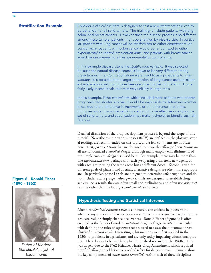**Stratification Example** Consider a clinical trial that is designed to test a new treatment believed to be beneficial for all solid tumors. The trial might include patients with lung, colon, and breast cancers. However since the disease process is so different among these tumors, patients might be stratified by disease site. In particular, patients with lung cancer will be randomized to either experimental or control arms, patients with colon cancer would be randomized to either experimental or control intervention arms, and patients with breast cancer would be randomized to either experimental or control arms.

> In this example disease site is the stratification variable. It was selected because the natural disease course is known to be very different among these tumors. If randomization alone were used to assign patients to interventions, it is possible that a larger proportion of lung cancer patients (shortest average survival) might have been assigned to the control arm. This is fairly likely in small trials, but relatively unlikely in large trials.

> In this example, if the control arm which included more patients with poorer prognoses had shorter survival, it would be impossible to determine whether it was due to the difference in treatments or the difference in patients. Prognosis aside, many interventions are found to be effective in only a subset of solid tumors, and stratification may make it simpler to identify such differences.

Detailed discussion of the drug development process is beyond the scope of this tutorial. Nevertheless, the various phases (0-IV) are defined in the glossary, several readings are recommended on this topic, and a few comments are in order here. First, *phase III trials* that are designed to prove the *efficacy* of new *treatments* all use randomized *controlled designs*, although many employ embellishments of the simple two-*arm design* discussed here. For example, there may be more than one *experimental arm*, perhaps with each *group* using a different new agent, or with each group using the same agent but at different doses. Second, given the different goals of phase I and II trials, alternative designs are often more appropriate. In particular, phase I trials are designed to determine safe drug doses and do not include *control groups*. Also, *phase II* trials are designed to establish drug activity. As a result, they are often small and preliminary, and often use *historical controls* rather than including a *randomized control arm*.

#### Hypothesis Testing and Statistical Inference

After a *randomized controlled trial* is conducted, statisticians help determine whether any observed difference between *outcomes* in the *experimental* and *control arms* are real, or simply chance occurrences. Ronald Fisher (Figure 6) is often credited as the father of modern *statistical analysis* of *experiments*, in particular with defining the rules of *inference* that are used to assess the outcomes of *randomized controlled trials*. Interestingly, his methods were first applied in the 1920s to problems in agriculture, and are only today impacting educational practice. They began to be widely applied in medical research in the 1960s. This was largely due to the1962 Kefauver-Harris Drug Amendment which required proof of *efficacy*, in addition to proof of safety for drug approval. Figure 7 shows the key components of *randomized controlled trials* in each of these disciplines.

#### Figure 6. Ronald Fisher (1890 - 1962)



Father of Modern Statistical Analysis of **Experiments**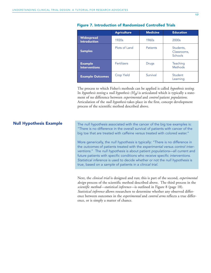|                                          | <b>Agriculture</b> | <b>Medicine</b> | <b>Education</b>                    |
|------------------------------------------|--------------------|-----------------|-------------------------------------|
| <b>Widespread</b><br><b>Introduction</b> | 1920s              | 1960s           | 2000s                               |
| <b>Samples</b>                           | Plots of Land      | <b>Patients</b> | Students,<br>Classrooms.<br>Schools |
| <b>Example</b><br><b>Interventions</b>   | <b>Fertilizers</b> | Drugs           | Teaching<br><b>Methods</b>          |
| <b>Example Outcomes</b>                  | <b>Crop Yield</b>  | Survival        | Student<br>Learning                 |

#### Figure 7. Introduction of Randomized Controlled Trials

The process to which Fisher's methods can be applied is called *hypothesis testing*. In *hypothesis testing* a *null hypothesis* ( $H<sub>Q</sub>$ ) is articulated which is typically a statement of no difference between *experimental* and *control* patient *populations*. Articulation of the *null hypothesis* takes place in the first, concept development process of the scientific method described above.

#### Null Hypothesis Example

The null hypothesis associated with the cancer of the big toe examples is: "There is no difference in the overall survival of patients with cancer of the big toe that are treated with caffeine versus treated with colored water."

More generically, the null hypothesis is typically: "There is no difference in the outcomes of patients treated with the experimental versus control interventions." The null hypothesis is about patient populations—all current and future patients with specific conditions who receive specific interventions. Statistical inference is used to decide whether or not the null hypothesis is true, based on a sample of patients in a clinical trial.

Next, the *clinical trial* is designed and run; this is part of the second, *experimental design* process of the scientific method described above. The third process in the *scientific method—statistical inference*—is outlined in Figure 8 (page 18). *Statistical inference* allows researchers to determine whether any observed difference between outcomes in the *experimental* and *control arms* reflects a true difference, or is simply a matter of chance.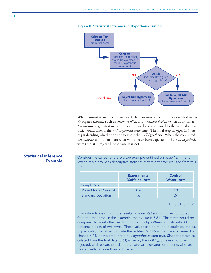

When *clinical trials* data are analyzed, the *outcomes* of each *arm* is described using *descriptive statistics* such as *mean*, *median* and *standard deviation*. In addition, a *test statistic* (e.g., t-test or F-test) is computed and compared to the value this statistic would take, if the *null hypothesis* were true. The final step in *hypothesis testing* is deciding whether or not to reject the *null hypothesis*. When the computed *test-statistic* is different than what would have been expected if the *null hypothesis* were true, it is rejected; otherwise it is not.

Consider the cancer of the big toe example outlined on page 12. The following table provides descriptive statistics that might have resulted from this trial.

|                              | <b>Experimental</b><br>(Caffeine) Arm | Control<br>(Water) Arm |
|------------------------------|---------------------------------------|------------------------|
| Sample Size                  | 30                                    | 30                     |
| <b>Mean Overall Survival</b> | 86                                    | 7 8                    |
| <b>Standard Deviation</b>    |                                       |                        |

 $t = 5.61, p \le .01$ 

In addition to describing the results, a t-test statistic might be computed from the trial data. In this example, the t value is 5.61. This t-test would be compared to t-tests that result from the null hypothesis in trials with 30 patients in each of two arms. These values can be found in statistical tables. In particular, the tables indicate that a t-test  $\geq 2.65$  would have occurred by chance  $\leq$  1% of the time, if the null hypothesis were true. Since the t-test calculated from the trial data (5.61) is larger, the null hypothesis would be rejected, and researchers claim that survival is greater for patients who are treated with caffeine than with water.

### Statistical Inference Example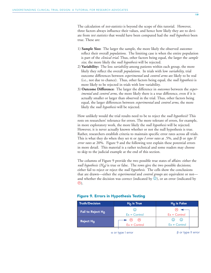The calculation of *test-statistics* is beyond the scope of this tutorial. However, three factors always influence their values, and hence how likely they are to deviate from *test statistics* that would have been computed had the *null hypothesis* been true. These are:

- 1) **Sample Size:** The larger the sample, the more likely the observed *outcomes* reflect their overall *populations*. The limiting case is when the entire population is part of the *clinical trial*. Thus, other factors being equal, the larger the *sample size*, the more likely the *null hypothesis* will be rejected.
- 2) **Variability:** The less *variability* among patients within each group, the more likely they reflect the overall *populations*. In trials with low *variability*, trial outcome differences between *experimental* and *control arms* are likely to be real (i.e., not due to chance). Thus, other factors being equal, the *null hypothesis* is more likely to be rejected in trials with low variability.
- 3) **Outcome Difference:** The larger the difference in *outcomes* between the *experimental* and *control arms*, the more likely there is a true difference, even if it is actually smaller or larger than observed in the trial. Thus, other factors being equal, the larger differences between *experimental* and *control arms*, the more likely the *null hypothesis* will be rejected.

How unlikely would the trial results need to be to reject the *null hypothesis*? This rests on researchers' tolerance for errors. The more tolerant of errors, for example, in more exploratory work, the more likely the *null hypothesis* will be rejected. However, it is never actually known whether or not the null hypothesis is true. Rather, researchers establish criteria to maintain specific error rates across all trials. This is what they do when they set α or *type I error rates* at .5%, and β or *type II error rates* at 20%. Figure 9 and the following text explain these potential errors in more detail. This material is a rather technical and some readers may choose to skip to the judicial example at the end of this section.

The columns of Figure 9 provide the two possible true states of affairs: either the *null hypothesis* ( $H_0$ ) is true or false. The rows give the two possible decisions; either fail to reject or reject the *null hypothesis*. The cells show the conclusions that are drawn—either the *experimental* and *control groups* are equivalent or not and whether the decision was correct (indicated by  $\circledcirc$ ), or an error (indicated by  $\circledcirc$ ).

| <b>Truth/Decision</b> | $H_0$ is True                                            | $H_0$ is False     |
|-----------------------|----------------------------------------------------------|--------------------|
| Fail to Reject Ho     | $\rm{c)}$                                                |                    |
|                       | $Ex = Control$                                           | $Ex = Control$     |
| Reject $H_0$          | $\left(\ddot{\sim}\right)$<br>$\left(\ddot{\sim}\right)$ | $\odot$<br>$\odot$ |
|                       | $Ex \neq$ Control                                        | $Ex \neq$ Control  |
|                       |                                                          |                    |

#### Figure 9. Errors in Hypothesis Testing

 $α$  or type I error  $β$  or type II error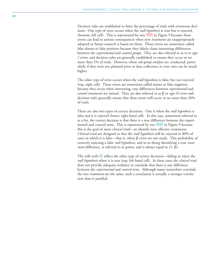Decision rules are established to limit the percentage of trials with erroneous decisions. One type of error occurs when the *null hypothesis* is true but is rejected, (bottom, left cell). This is represented by two  $\Theta\otimes$  in Figure 9 because these errors can lead to serious consequences when new *treatments* are inappropriately adopted or future research is based on them. These errors are sometimes called false alarms or false positives because they falsely claim interesting differences between the *experimental* and *control groups*. They are also referred to as α or *type I errors*, and decision rules are generally established to ensure they occur in no more than 5% of trials. However, when *sub-group analyses* are conducted, particularly if they were not planned prior to data collection, α *error rates* can be much higher.

The other type of error occurs when the *null hypothesis* is false, but not rejected (top, right cell). These errors are sometimes called misses or false negatives because they occur when interesting, true differences between *experimental* and *control treatments* are missed. They are also referred to as β or *type II errors* and decision rules generally ensure that these errors will occur in no more than 20% of trials.

There are also two types of correct decisions. One is when the *null hypothesis* is false and it is rejected (lower, right-hand cell). In this case, sometimes referred to as a hit, the correct decision is that there is a true difference between the experimental and control arms. This is represented by two  $\circledcirc\circ$  in Figure 9 because this is the goal of most *clinical trials*—to identify new, effective treatments. *Clinical trials* are designed so that the *null hypothesis* will be rejected in 80% of cases in which it is false—that is, when β *errors* are not made. This probability of correctly rejecting a false *null hypothesis*, and in so doing identifying a true *treatment* difference, is referred to as power, and is always equal to (1- β).

The cells with  $\mathbb{O}% _{k}(G)$  reflect the other type of correct decisions—failing to reject the *null hypothesis* when it is true (top, left-hand cell). In these cases the *clinical trial* does not provide adequate evidence to conclude that there is any difference between the *experimental* and *control arms*. Although many researchers conclude the two *treatments* are the same, such a conclusion is actually a stronger conclusion than is justified.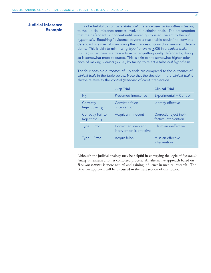#### Judicial Inference Example

It may be helpful to compare statistical inference used in hypothesis testing to the judicial inference process involved in criminal trials. The presumption that the defendant is innocent until proven guilty is equivalent to the null hypothesis. Requiring "evidence beyond a reasonable doubt" to convict a defendant is aimed at minimizing the chances of convicting innocent defendants. This is akin to minimizing type I errors ( $\alpha \le 0.05$ ) in a clinical trials. Further, while there is a desire to avoid acquitting guilty defendants, doing so is somewhat more tolerated. This is akin to the somewhat higher tolerance of making II errors ( $β ≤ 20$ ) by failing to reject a false null hypothesis.

The four possible outcomes of jury trials are compared to the outcomes of clinical trials in the table below. Note that the decision in the clinical trial is always relative to the control (standard of care) intervention.

|                                       | <b>Jury Trial</b>                                | <b>Clinical Trial</b>                          |
|---------------------------------------|--------------------------------------------------|------------------------------------------------|
| H <sub>0</sub>                        | Presumed Innocence                               | Experimental = Control                         |
| Correctly<br>Reject the $H_{\Omega}$  | Convict a felon<br>intervention                  | Identify effective                             |
| Correctly Fail to<br>Reject the $H_0$ | Acquit an innocent                               | Correctly reject inef-<br>fective intervention |
| <b>Type I Error</b>                   | Convict an innocent<br>intervention is effective | Claim an ineffective                           |
| <b>Type II Error</b>                  | Acquit felon                                     | Miss an effective<br>intervention              |

Although the judicial analogy may be helpful in conveying the logic of *hypothesis testing*, it remains a rather contorted process. An alternative approach based on *Bayesian statistics* is more natural and gaining influence in medical research. The Bayesian approach will be discussed in the next section of this tutorial.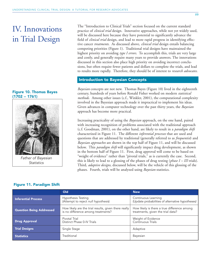## IV. Innovations in Trial Design

#### Figure 10. Thomas Bayes (1702 -- 1761)



Father of Bayesian **Statistics** 

The "Introduction to Clinical Trials" section focused on the current standard practice of *clinical trial* design. Innovative approaches, while not yet widely used, will be discussed here because they have potential to significantly advance the field of *clinical trial* design, and lead to more rapid progress in identifying effective cancer *treatments*. As discussed above, *clinical trial* design entails balancing competing priorities (Figure 1). Traditional trial designs have maintained the highest priority on avoiding *type I errors*. To accomplish this, trials are very large and costly, and generally require many years to provide answers. The innovations discussed in this section also place high priority on avoiding incorrect conclusions, but often require fewer patients and dollars to complete the trials, and lead to results more rapidly. Therefore, they should be of interest to *research advocates*.

#### Introduction to Bayesian Concepts

*Bayesian* concepts are not new. Thomas Bayes (Figure 10) lived in the eighteenth century, hundreds of years before Ronald Fisher worked on modern *statistical methods*. Among other issues (c.f., Winkler, 2001), the computational complexity involved in the Bayesian approach made it impractical to implement his ideas. Given advances in computer technology over the past thirty years, the *Bayesian* approach has become more practical.

Increasing practicality of using the *Bayesian* approach, on the one hand, paired with increasing recognition of problems associated with the traditional approach (c.f. Goodman, 2001), on the other hand, are likely to result in a *paradigm shift* characterized in Figure 11. The different *inferential processes* that are used and questions that are addressed by traditional (generally referred to as *frequentist*) and *Bayesian approaches* are shown in the top half of Figure 11, and will be discussed below. This *paradigm shift* will significantly impact drug development, as shown in the bottom half of Figure 11. First, drug approval will come to be based on "weight of evidence" rather than "pivotal trials," as is currently the case. Second, this is likely to lead to a glossing of the phases of drug testing (*phase I – III* trials). Third, *adaptive designs*, discussed below, will be the vehicle of this glossing of the phases. Fourth, trials will be analyzed using *Bayesian* statistics.

|                                 | Old                                                                                        | <b>New</b>                                                                       |
|---------------------------------|--------------------------------------------------------------------------------------------|----------------------------------------------------------------------------------|
| <b>Inferential Process</b>      | <b>Hypothesis Testing</b><br>(Attempt to reject null hypothesis)                           | Continuous Learning<br>(Update probabilities of alternative hypotheses)          |
| <b>Question Being Addressed</b> | How likely are the trial results, given there really<br>is no difference among treatments? | How likely is there a true difference among<br>treatments, given the trial data? |
| <b>Drug Approval</b>            | Pivotal Trial<br>Distinct Phase 0-IV Trials                                                | Weight of Evidence<br>Continuous Trials                                          |
| <b>Trial Designs</b>            | Single Stage                                                                               | Adaptive                                                                         |
| <b>Statistics</b>               | Traditional                                                                                | Bayesian                                                                         |

#### Figure 11. Paradigm Shift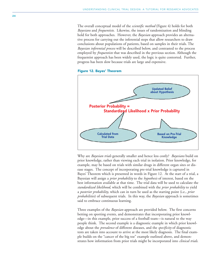The overall conceptual model of the *scientific method* (Figure 4) holds for both *Bayesians* and *frequentists*. Likewise, the issues of randomization and blinding hold for both approaches. However, the *Bayesian* approach provides an alternative process for carrying out the inferential steps that allow researchers to draw conclusions about populations of patients, based on samples in their trials. The *Bayesian inferential process* will be described below, and contrasted to the process employed by *frequentists* that was described in the previous section. Although the frequentist approach has been widely used, the logic is quite contorted. Further, progress has been slow because trials are large and expensive.





Why are *Bayesian trials* generally smaller and hence less costly? *Bayesians* build on prior knowledge, rather than viewing each trial in isolation. Prior knowledge, for example, may be based on trials with similar drugs in different organ sites or disease stages. The concept of incorporating pre-trial knowledge is captured in Bayes' Theorem which is presented in words in Figure 12. At the start of a trial, a Bayesian will assign a *prior probability* to the *hypothesis* of interest, based on the best information available at that time. The trial data will be used to calculate the *standardized likelihood*, which will be combined with the *prior probability* to yield a *posterior probability*, which can in turn be used as the starting point (i.e., *prior probabilities*) of subsequent trials. In this way, the *Bayesian* approach is sometimes said to embrace continuous learning.

Three examples of the *Bayesian* approach are provided below. The first concerns betting on sporting events, and demonstrates that incorporating prior knowledge—in this example, prior success of a football team—is natural to the way people think. The second example is a diagnostic example in which prior knowledge about the *prevalence* of different diseases, and the *specificity* of diagnostic tests are taken into account to arrive at the most likely diagnosis. The final example builds on the "cancer of the big toe" example outlined above, and demonstrates how information from prior trials might be incorporated into *clinical trials*.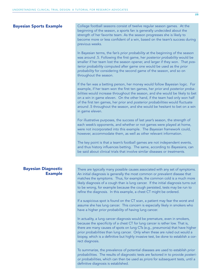#### Bayesian Sports Example

College football seasons consist of twelve regular season games. At the beginning of the season, a sports fan is generally undecided about the strength of her favorite team. As the season progresses she is likely to become more or less confident of a win, based on the team's success during previous weeks.

In Bayesian terms, the fan's prior probability at the beginning of the season was around .5. Following the first game, her posterior probability would be smaller if her team lost the season opener, and larger if they won. That posterior probability computed after game one would be used as the prior probability for considering the second game of the season, and so on throughout the season.

If the fan was a betting person, her money would follow Bayesian logic. For example, if her team won the first ten games, her prior and posterior probabilities would increase throughout the season, and she would be likely to bet on a win in game eleven. On the other hand, if the team had only won half of the first ten games, her prior and posterior probabilities would fluctuate around .5 throughout the season, and she would be hesitant to bet on a win in game eleven.

For illustrative purposes, the success of last year's season, the strength of each week's opponents, and whether or not games were played at home, were not incorporated into this example. The Bayesian framework could, however, accommodate them, as well as other relevant information.

The key point is that a team's football games are not independent events, and thus history influences betting. The same, according to Bayesians, can be said about clinical trials that involve similar diseases or treatments.

#### Bayesian Diagnostic Example

There are typically many possible causes associated with any set of symptoms. An initial diagnosis is generally the most common or prevalent disease that matches the symptoms. Thus, for example, the common cold is a much more likely diagnosis of a cough than is lung cancer. If the initial diagnosis turns out to be wrong, for example because the cough persisted, tests may be run to refine the diagnosis. In this example, a chest CT might be ordered.

If a suspicious spot is found on the CT scan, a patient may fear the worst and assume she has lung cancer. This concern is especially likely in smokers who have a higher prior probability of having lung cancer.

In actuality, a lung cancer diagnosis would be premature, even in smokers, because the specificity of a chest CT for lung cancer is rather low. That is, there are many causes of spots on lung CTs (e.g., pneumonia) that have higher prior probabilities than lung cancer. Only when these are ruled out would a biopsy, which is a definitive but highly invasive test, be done to establish a correct diagnosis.

To summarize, the prevalence of potential diseases are used to establish prior probabilities. The results of diagnostic tests are factored in to provide posterior probabilities, which can then be used as priors for subsequent tests, until a definitive diagnosis is established.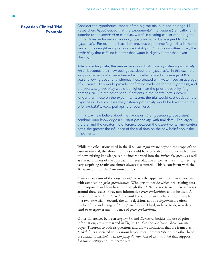#### Bayesian Clinical Trial Example

Consider the hypothetical cancer of the big toe trial outlined on page 14. Researchers hypothesized that the experimental intervention (i.e., caffeine) is superior to the standard of care (i.e., water) in treating cancer of the big toe. In the Bayesian framework a prior probability would be assigned to this hypothesis. For example, based on previous experience (e.g., trials in thumb cancer), they might assign a prior probability of .6 to this hypothesis (i.e., the probability that caffeine is better than water is slightly better than even chance).

After collecting data, the researchers would calculate a posterior probability which becomes their new best guess about the hypothesis. In this example, suppose patients who were treated with caffeine lived an average of 8.6 years following treatment, whereas those treated with water lived an average of 7.8 years. This would provide confirming evidence for the hypothesis, and the posterior probability would be higher than the prior probability, (e.g., perhaps .8). On the other hand, if patients in the control arm survived longer than those on the experimental arm, the trial would cast doubt on the hypothesis. In such cases the posterior probability would be lower than the prior probability (e.g., perhaps .5 or even less).

In this way new beliefs about the hypothesis (i.e., posterior probabilities) combine prior knowledge (i.e., prior probability) with trial data. The larger the trial and the greater the difference between the experimental and control arms, the greater the influence of the trial data on the new belief about the hypothesis.

While the calculations used in the *Bayesian approach* are beyond the scope of the current tutorial, the above examples should have provided the reader with a sense of how existing knowledge can be incorporated into the *inferential process*, as well as the naturalness of the approach. In everyday life as well as the clinical setting, very surprising results are almost always discounted. This is consistent with the *Bayesian*, but not the *frequentist* approach.

A major criticism of the *Bayesian approach* is the apparent subjectivity associated with establishing *prior probabilities*. Who gets to decide which pre-existing data to incorporate and how heavily to weigh them? While not trivial, there are ways around these issues. First, non-informative *prior probabilities* could be used. A non-informative *prior probability* would be equivalent to chance, for example, .5 in a two-*arm* trial. Second, the same decisions about a *hypothesis* are often reached for a wide range of *prior probabilities*. Third, in large trials, new data tend to overpower any influence of *prior probabilities*.

Other differences between *frequentists* and *Bayesians*, besides the use of prior information, are summarized in Figure 13. On the one hand, *Bayesians* use Bayes' Theorem to address questions and draw conclusions that are framed as *probabilities* associated with various hypotheses. *Frequentists*, on the other hand, use *statistical methods* (i.e., *sampling distributions* of *test statistics*) that support *hypothesis testing* and limit error rates.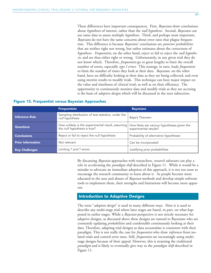These differences have important consequences. First, *Bayesians* draw conclusions about *hypotheses* of interest, rather than the *null hypothesis*. Second, *Bayesians* can use same data to assess multiple *hypotheses*. Third, and perhaps most important, *Bayesians* do not have the same concerns about error rates that plague frequentists. This difference is because *Bayesians*' conclusions are *posterior probabilities* that are neither right nor wrong, but rather estimates about the correctness of *hypotheses*. *Frequentists*, on the other hand, reject or fail to reject the *null hypothesis*, and are thus either right or wrong. Unfortunately, in any given trial they do not know which. Therefore, *frequentists* go to great lengths to limit the overall number of errors, especially *type I errors*. This strategy, in turn, leads *frequentists* to limit the number of times they look at their data. *Bayesians*, on the other hand, have no difficulty looking at their data as they are being collected, and even using interim results to modify trials. This technique can have major impact on the value and timeliness of *clinical trials*, as well as on their efficiency. The opportunity to continuously monitor data and modify trials as they are accruing is the basis of *adaptive designs* which will be discussed in the next subsection.

|                          | <b>Frequentists</b>                                                               | <b>Bayesians</b>                                                     |
|--------------------------|-----------------------------------------------------------------------------------|----------------------------------------------------------------------|
| <b>Inference Rule</b>    | Sampling distribution of test statistics, under the<br>null hypothesis            | Baye's Theorem                                                       |
| <b>Questions</b>         | How unlikely is the experimental result, assuming<br>the null hypothesis is true? | How likely are various hypotheses given the<br>experimental results? |
| <b>Conclusions</b>       | Reject or fail to reject the null hypothesis                                      | Probability of alternative hypotheses                                |
| <b>Prior Information</b> | Not relevant                                                                      | Can be incorporated                                                  |
| <b>Key Challenges</b>    | Limiting ? and ? errors                                                           | Justifying prior probabilities                                       |

#### Figure 13. Frequentist versus Bayesian Approaches

By discussing *Bayesian* approaches with researchers, *research advocates* can play a role in accelerating the *paradigm shift* described in Figure 11. While it would be a mistake to advocate an immediate adoption of this approach, it is not too soon to encourage the research community to learn about it. As people become more educated in the uses and abuses of *Bayesian* methods and develop simple software tools to implement them, their strengths and limitations will become more apparent.

#### Introduction to Adaptive Designs

The term "*adaptive design*" is used in many different ways. Here it is used to describe any multi-stage trial where later stages are based, in part, on what happened in earlier stages. While a *Bayesian* perspective is not strictly necessary for adaptive designs, as discussed above these designs are natural to Bayesians who are constantly updating *probabilities* and comfortable continuously looking at their data. Therefore, adapting trial designs as data accumulate is consistent with their paradigm. This is not really the case for *frequentists* who draw *inferences* from isolated trials and control error rates. Still, *frequentists* are increasingly using multistage designs because of their appeal. However, this is straining the traditional *paradigm* and is likely to eventually give way to the *paradigm shift* described in Figure 11.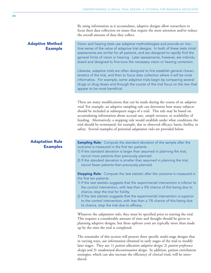By using information as it accumulates, adaptive designs allow researchers to focus their data collection on issues that require the most attention and/or reduce the overall amount of data they collect.

#### Adaptive Method Example

Adaptation Rule

**Examples** 

Vision and hearing tests use adaptive methodologies and provide an intuitive sense of the value of adaptive trial designs. In both of these tests initial assessments are similar for all patients, and are designed to rapidly find the general limits of vision or hearing. Later assessments, however, are individualized and designed to fine-tune the necessary vision or hearing correction.

Likewise, adaptive trials are often designed to first establish general characteristics of the trial, and then to focus data collection where it will be most informative. For example, some adaptive trials begin by comparing several drugs or drug doses and through the course of the trial focus on the two that appear to be most beneficial.

There are many modifications that can be made during the course of an *adaptive trial*. For example, an adaptive sampling rule can determine how many subjects should be included at subsequent stages of a trial. This rule may be based on accumulating information about accrual rate, *sample variance*, or availability of funding. Alternatively, a stopping rule would establish under what conditions the trial should be terminated, for example, due to observed efficacy, harm, futility, or safety. Several examples of potential *adaptation rules* are provided below.

**Sampling Rule:** Compute the standard deviation of the sample after the outcome is measured in the first ten patients.

- 1) If the standard deviation is larger than assumed in planning the trial, recruit more patients than previously planned.
- 2) If the standard deviation is smaller than assumed in planning the trial, recruit fewer patients than previously planned.

**Stopping Rule:** Compute the test statistic after the outcome is measured in the first ten patients.

- 1) If the test statistic suggests that the experimental intervention is inferior to the control intervention, with less than a 5% chance of this being due to chance, stop the trial for futility.
- 2) If the test statistic suggests that the experimental intervention is superior to the control intervention, with less than a 1% chance of this being due to chance, stop the trial due to efficacy.

Whatever the *adaptation rules*, they must be specified prior to starting the trial. This requires a considerable amount of time and thought should be given to planning adaptive designs, but these upfront costs are typically more than made up by the time the trial is completed.

The remainder of this section will present three specific multi-stage designs that in varying ways, use information obtained in early stages of the trial to modify later stages. They are: 1) *patient allocation adaptive design*: 2) *patient preference design* and 3) *randomized discontinuation design*. In addition, patient enrichment strategies, which can also increase the efficiency of *clinical trials*, will be introduced.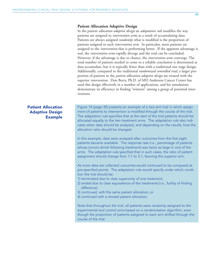#### **Patient Allocation Adaptive Design**

In the patient *allocation adaptive design* an *adaptation rule* modifies the way patients are assigned to *intervention arms* as a result of accumulating data. Patients are always assigned *randomly*; what is modified is the proportion of patients assigned to each *intervention arm*. In particular, more patients are assigned to the *intervention* that is performing better. If the apparent advantage is real, the *intervention arms* rapidly diverge and the trial can be concluded. However, if the advantage is due to chance, the *intervention arms* converge. The total number of patients needed to come to a reliable conclusion is determined as data accumulate, but it is typically fewer than with a traditional one stage design. Additionally, compared to the traditional *randomized controlled trial*, a larger proportion of patients in the *patient allocation adaptive design* are treated with the superior *intervention*. Don Berry, Ph.D. of MD Anderson Cancer Center has used this design effectively in a number of applications, and his simulations demonstrate its efficiency in finding "winners" among a group of potential interventions.

#### Patient Allocation Adaptive Design Example

Figure 14 (page 30) presents an example of a two-arm trial in which assignment of patients to intervention is modified through the course of the trial. The adaptation rule specifies that at the start of the trial patients should be allocated equally to the two treatment arms. The adaptation rule also indicates when data should be analyzed, and depending on the results, how the allocation ratio should be changed.

In this example, data were analyzed after outcomes from the first eight patients became available. The response rate (i.e., percentage of patients whose tumors shrink following treatment) was twice as large in one of the arms. The adaptation rule specified that in such cases, the ratio of patient assignment should change from 1:1 to 3:1, favoring the superior arm.

As more data are collected outcomes would continued to be compared at pre-specified points. The adaptation rule would specify under which condition the trial should be:

- 1) terminated due to clear superiority of one treatment;
- 2) ended due to clear equivalence of the treatments (i.e., futility of finding difference)
- 3) continued, with the same patient allocation; or
- 4) continued with a revised patient allocation.

Note that throughout the trial, all patients were randomly assigned to the experimental and control arms based on a randomization algorithm, even though the proportion of patients assigned to each arm shifted through the course of the trial.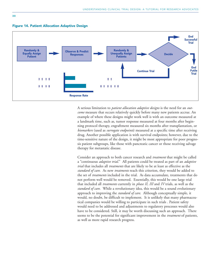





A serious limitation to *patient allocation adaptive designs* is the need for an *outcome* measure that occurs relatively quickly before many new patients accrue. An example of where these designs might work well is with an outcome measured at a landmark time, such as, tumor response measured at four months after beginning protocol therapy, engraftment measured six months after transplantation, or *biomarkers* (used as *surrogate endpoints*) measured at a specific time after receiving drug. Another possible application is with survival endpoints; however, due to the time-sensitive nature of the design, it might be most appropriate for poor prognosis patient subgroups, like those with pancreatic cancer or those receiving salvage therapy for metastatic disease.

Consider an approach to both cancer research and *treatment* that might be called a "continuous *adaptive trial*." All patients could be treated as part of an *adaptive trial* that includes all *treatments* that are likely to be at least as effective as the *standard of care*. As new *treatments* reach this criterion, they would be added to the set of *treatments* included in the trial. As data accumulate, treatments that do not perform well would be removed. Essentially, this would be one large trial that included all *treatments* currently in *phase II, III* and *IV* trials, as well as the *standard of care*. While a revolutionary idea, this would be a sound evolutionary approach to improving the *standard of care*. Although conceptually simple, it would, no doubt, be difficult to implement. It is unlikely that many pharmaceutical companies would be willing to participate in such trials . Patient safety would need to be addressed and adjustments to regulatory processes would also have to be considered. Still, it may be worth discussing such an approach. There seems to be the potential for significant improvement in the *treatment* of patients, as well as more rapid research progress.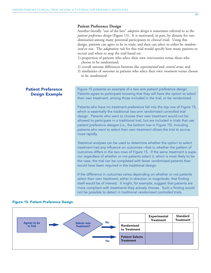#### **Patient Preference Design**

Another literally "out of the box" *adaptive design* is sometimes referred to as the *patient preference design* (Figure 15). It is motivated, in part, by distaste for *randomization* among many potential participants in *clinical trials*. Using this design, patients can agree to be in trials, and then can select to either be *randomized* or not. The *adaptation rule* for this trial would specify how many patients to recruit and when to stop the trial based on:

- 1) proportion of patients who select their own *intervention* versus those who choose to be randomized;
- 2) overall *outcome* differences between the *experimental* and *control arms*; and
- 3) similarities of *outcomes* in patients who select their own *treatment* versus choose to be *randomized*.

Figure 15 presents an example of a two-arm patient preference design. Patients agree to participate knowing that they will have the option to select their own treatment, among those included in the trial, or be randomized.

Patients who have no treatment preference fall into the top row of Figure 15, which is essentially the traditional two-arm randomized controlled trial design. Patients who want to choose their own treatment would not be allowed to participate in a traditional trial, but are included in trials that use patient preference designs (i.e., the bottom row in Figure 15). Including patients who want to select their own treatment allows the trial to accrue more rapidly.

Statistical analyses can be used to determine whether the option to select treatment had any influence on outcomes—that is, whether the pattern of outcomes differs in the two rows of Figure 15. If the same treatment is superior regardless of whether or not patients select it, which is most likely to be the case, the trial can be completed with fewer randomized patients than would have been required in the traditional design.

If the difference in outcomes varies depending on whether or not patients select their own treatment, either in direction or magnitude, that finding itself would be of interest. It might, for example, suggest that patients are more compliant with treatments they actively choose. Such a finding would not be possible to detect in traditional randomized controlled trials.



#### Figure 15. Patient Preference Design

Patient Preference Design Example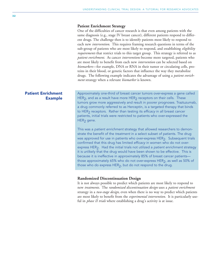#### **Patient Enrichment Strategy**

One of the difficulties of cancer research is that even among patients with the same diagnosis (e.g., stage IV breast cancer), different patients respond to different drugs. The challenge then is to identify patients most likely to respond to each new *intervention*. This requires framing research questions in terms of the sub-group of patients who are most likely to respond, and establishing *eligibility requirements* that restrict trials to this target group. This strategy is referred to as *patient enrichment*. As cancer *interventions* become more targeted, patients who are most likely to benefit from each new *intervention* can be selected based on *biomarkers*—for example, DNA or RNA in their tumor or circulating cells, proteins in their blood, or genetic factors that influence the way they metabolize drugs. The following example indicates the advantage of using a *patient enrichment* strategy when a relevant *biomarker* is known.

#### Patient Enrichment Example

Approximately one-third of breast cancer tumors over-express a gene called HER<sub>2</sub>, and as a result have more HER<sub>2</sub> receptors on their cells. These tumors grow more aggressively and result in poorer prognoses. Traztuzumab, a drug commonly referred to as Herceptin, is a targeted therapy that binds to HER<sub>2</sub> receptors. Rather than testing its efficacy in all breast cancer patients, initial trials were restricted to patients who over-expressed the  $HER<sub>2</sub>$  gene.

This was a patient enrichment strategy that allowed researchers to demonstrate the benefit of the treatment in a select subset of patients. The drug was approved for use in patients who over-express HER<sub>2</sub>. Subsequent trials confirmed that this drug has limited efficacy in women who do not overexpress HER<sub>2</sub>. Had the initial trials not utilized a patient enrichment strategy it is unlikely that the drug would have been shown to be effective. This is because it is ineffective in approximately 85% of breast cancer patients those approximately 65% who do not over-express HER $_2$ , as well as 50% of those who do express HER $_2$ , but do not respond to the drug.

#### **Randomized Discontinuation Design**

It is not always possible to predict which patients are most likely to respond to new *treatments*. The *randomized discontinuation design* uses a *patient enrichment* strategy in a *two-stage design*, even when there is no way to predict which patients are most likely to benefit from the *experimental intervention*. It is particularly useful in *phase II trials* where establishing a drug's activity is at issue.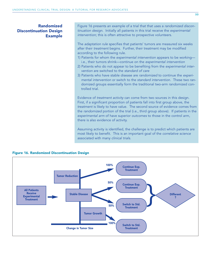#### Randomized Discontinuation Design Example

Figure 16 presents an example of a trial that that uses a randomized discontinuation design. Initially all patients in this trial receive the experimental intervention; this is often attractive to prospective volunteers.

The adaptation rule specifies that patients' tumors are measured six weeks after their treatment begins. Further, their treatment may be modified according to the following rule.

- 1) Patients for whom the experimental intervention appears to be working i.e., their tumors shrink—continue on the experimental intervention
- 2) Patients who do not appear to be benefiting from the experimental intervention are switched to the standard of care
- 3) Patients who have stable disease are randomized to continue the experimental intervention or switch to the standard intervention. These two randomized groups essentially form the traditional two-arm randomized controlled trial.

Evidence of treatment activity can come from two sources in this design. First, if a significant proportion of patients fall into first group above, the treatment is likely to have value. The second source of evidence comes from the randomized portion of the trial (i.e., third group above). If patients in the experimental arm of have superior outcomes to those in the control arm, there is also evidence of activity.

Assuming activity is identified, the challenge is to predict which patients are most likely to benefit. This is an important goal of the correlative science associated with many clinical trials.



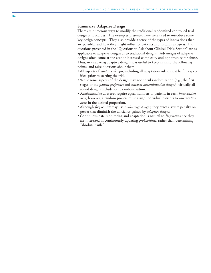#### **Summary: Adaptive Design**

There are numerous ways to modify the traditional randomized controlled trial design as it accrues. The examples presented here were used to introduce some key design concepts. They also provide a sense of the types of innovations that are possible, and how they might influence patients and research progress. The questions presented in the "Questions to Ask about Clinical Trials Section" are as applicable to adaptive designs as to traditional designs. Advantages of adaptive designs often come at the cost of increased complexity and opportunity for abuse. Thus, in evaluating adaptive designs it is useful to keep in mind the following points, and raise questions about them:

- All aspects of *adaptive designs*, including all adaptation rules, must be fully specified **prior** to starting the trial.
- While some aspects of the design may not entail randomization (e.g., the first stages of the *patient preference* and *random discontinuation designs*), virtually all sound designs include some **randomization** .
- *Randomization* does **not** require equal numbers of patients in each *intervention arm*; however, a random process must assign individual patients to *intervention arms* in the desired proportion.
- Although *frequentists* may use *multi-stage designs*, they exact a severe penalty on power that diminish the efficiency gained by *adaptive designs*.
- Continuous data monitoring and adaptation is natural to *Bayesians* since they are interested in continuously updating *probabilities*, rather than determining "absolute truth."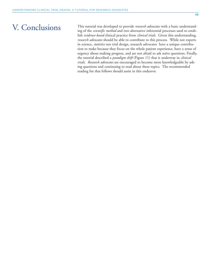### V. Conclusions

This tutorial was developed to provide *research advocates* with a basic understanding of the *scientific method* and two alternative inferential processes used to establish *evidence-based* clinical practice from *clinical trials*. Given this understanding, *research advocates* should be able to contribute to this process. While not experts in science, *statistics* nor trial design, research advocates have a unique contribution to make because they focus on the whole patient experience, have a sense of urgency about making progress, and are not afraid to ask naïve questions. Finally, the tutorial described a *paradigm shift* (Figure 11) that is underway in *clinical trials*. *Research advocates* are encouraged to become more knowledgeable by asking questions and continuing to read about these topics. The recommended reading list that follows should assist in this endeavor.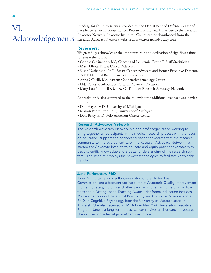# VI. Acknowledgements

Funding for this tutorial was provided by the Department of Defense Center of Excellence Grant in Breast Cancer Research at Indiana University to the Research Advocacy Network Advocate Institute. Copies can be downloaded from the Research Advocacy Network website at www.researchadvocacy.com.

#### Reviewers:

We gratefully acknowledge the important role and dedication of significant time to review the tutorial:

- Connie Cirrincione, MS, Cancer and Leukemia Group B Staff Statistician
- Mary Elliott, Breast Cancer Advocate
- Susan Nathanson, PhD, Breast Cancer Advocate and former Executive Director, Y-ME National Breast Cancer Organization
- Anne O'Neill, MS, Eastern Cooperative Oncology Group
- Elda Railey, Co-Founder Research Advocacy Network
- Mary Lou Smith, JD, MBA, Co-Founder Research Advocacy Network

Appreciation is also expressed to the following for additional feedback and advice to the author:

- Dan Hayes, MD, University of Michigan
- Marion Perlmutter, PhD, University of Michigan
- Don Berry, PhD, MD Anderson Cancer Center

#### Research Advocacy Network

The Research Advocacy Network is a non-profit organization working to bring together all participants in the medical research process with the focus on education, support and connecting patient advocates with the research community to improve patient care. The Research Advocacy Network has started the Advocate Institute to educate and equip patient advocates with basic scientific knowledge and a better understanding of the research system. The Institute employs the newest technologies to facilitate knowledge transfer.

#### Jane Perlmutter, PhD

Jane Perlmutter is a consultant-evaluator for the Higher Learning Commission and a frequent facilitator for its Academic Quality Improvement Program Strategy Forums and other programs. She has numerous publications and a Distinguished Teaching Award. Her formal education includes Masters degrees in Educational Psychology and Computer Science, and a Ph.D. in Cognitive Psychology from the University of Massachusetts in Amherst. She also received an MBA from New York University's Executive Program. Jane is a long-term breast cancer survivor and research advocate. She can be contacted at janep@gemini-grp.com.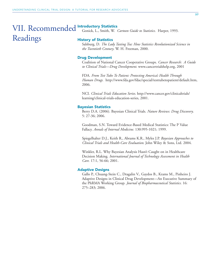### VII. Recommended Introductory Statistics Readings

Gonick, L., Smith, W. *Cartoon Guide to Statistics*. Harper, 1993.

#### History of Statistics

Salsburg, D. *The Lady Tasting Tea: How Statistics Revolutionized Science in the Twentieth Century*. W. H. Freeman, 2000.

#### Drug Development

Coalition of National Cancer Cooperative Groups. *Cancer Research: A Guide to Clinical Trials—Drug Development*. www.cancertrialshelp.org, 2001

FDA. *From Test Tube To Patient: Protecting America's Health Through Human Drugs.* http://www.fda.gov/fdac/special/testtubetopatient/default.htm, 2006.

NCI. *Clinical Trials Education Series*. http://www.cancer.gov/clinicaltrials/ learning/clinical-trials-education-series, 2001.

#### Bayesian Statistics

Berry D.A. (2006). Bayesian Clinical Trials. *Nature Reviews: Drug Discovery*. 5: 27-36; 2006.

Goodman, S.N. Toward Evidence-Based Medical Statistics: The P Value Fallacy. *Annals of Internal Medicine.* 130:995-1021; 1999.

Spiegelhalter D.J., Keith R., Abrams K.R., Myles J.P. *Bayesian Approaches to Clinical Trials and Health-Care Evaluation.* John Wiley & Sons, Ltd. 2004.

Winkler, R.L. Why Bayesian Analysis Hasn't Caught on in Healthcare Decision Making. *International Journal of Technology Assessment in Health Care.* 17:1, 56-66; 2001.

#### Adaptive Designs

Gallo P., Chuang-Stein C., Dragalin V., Gaydos B., Krams M., Pinheiro J. Adaptive Designs in Clinical Drug Development—An Executive Summary of the PhRMA Working Group. *Journal of Biopharmaceutical Statistics.* 16: 275–283; 2006.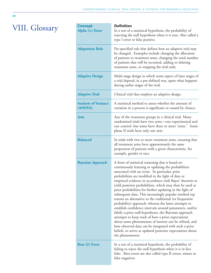# VIII. Glossary

| <b>Concept</b><br>Alpha $(\alpha)$ Error | <b>Definition</b><br>In a test of a statistical hypothesis, the probability of<br>rejecting the null hypothesis when it is true. Also called a<br>type I error or false positive.                                                                                                                                                                                                                                                                                                                                                                                                                                                                                                                                                                                                                                                                                                                                                                                |
|------------------------------------------|------------------------------------------------------------------------------------------------------------------------------------------------------------------------------------------------------------------------------------------------------------------------------------------------------------------------------------------------------------------------------------------------------------------------------------------------------------------------------------------------------------------------------------------------------------------------------------------------------------------------------------------------------------------------------------------------------------------------------------------------------------------------------------------------------------------------------------------------------------------------------------------------------------------------------------------------------------------|
| <b>Adaptation Rule</b>                   | Pre-specified rule that defines how an adaptive trial may<br>be changed. Examples include changing the allocation<br>of patients to treatment arms, changing the total number<br>of patients that will be recruited, adding or deleting<br>treatment arms, or stopping the trial early.                                                                                                                                                                                                                                                                                                                                                                                                                                                                                                                                                                                                                                                                          |
| <b>Adaptive Design</b>                   | Multi-stage design in which some aspect of later stages of<br>a trial depend, in a pre-defined way, upon what happens<br>during earlier stages of the trial.                                                                                                                                                                                                                                                                                                                                                                                                                                                                                                                                                                                                                                                                                                                                                                                                     |
| <b>Adaptive Trial</b>                    | Clinical trial that employs an adaptive design.                                                                                                                                                                                                                                                                                                                                                                                                                                                                                                                                                                                                                                                                                                                                                                                                                                                                                                                  |
| <b>Analysis of Variance</b><br>(ANOVA)   | A statistical method to assess whether the amount of<br>variation in a process is significant or caused by chance.                                                                                                                                                                                                                                                                                                                                                                                                                                                                                                                                                                                                                                                                                                                                                                                                                                               |
| Arm                                      | Any of the treatment groups in a clinical trial. Many<br>randomized trials have two arms-one experimental and<br>one control--but some have three or more "arms." Some<br>phase II trials have only one arm.                                                                                                                                                                                                                                                                                                                                                                                                                                                                                                                                                                                                                                                                                                                                                     |
| <b>Balanced</b>                          | In trials with two or more treatment arms, ensuring that<br>all treatment arms have approximately the same<br>proportion of patients with a given characteristic, for<br>example, gender or race.                                                                                                                                                                                                                                                                                                                                                                                                                                                                                                                                                                                                                                                                                                                                                                |
| <b>Bayesian Approach</b>                 | A form of statistical reasoning that is based on<br>continuously learning or updating the probabilities<br>associated with an event. In particular, prior<br>probabilities are modified in the light of data or<br>empirical evidence in accordance with Bayes' theorem to<br>yield posterior probabilities, which may then be used as<br>prior probabilities for further updating in the light of<br>subsequent data. This increasingly popular method rep<br>resents an alternative to the traditional (or frequentist<br>probability) approach: whereas the latter attempts to<br>establish confidence intervals around parameters, and/or<br>falsify a-prior null-hypotheses, the Bayesian approach<br>attempts to keep track of how a-prior expectations<br>about some phenomenon of interest can be refined, and<br>how observed data can be integrated with such a-prior<br>beliefs, to arrive at updated posterior expectations about<br>the phenomenon. |
| Beta $(\beta)$ Error                     | In a test of a statistical hypothesis, the probability of<br>failing to reject the null hypothesis when it is in fact<br>false. Beta errors are also called type II errors, misses or<br>false negatives.                                                                                                                                                                                                                                                                                                                                                                                                                                                                                                                                                                                                                                                                                                                                                        |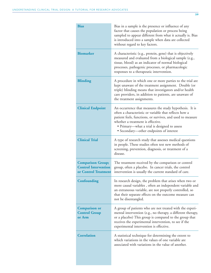| <b>Bias</b>                                                                     | Bias in a sample is the presence or influence of any<br>factor that causes the population or process being<br>sampled to appear different from what it actually is. Bias<br>is introduced into a sample when data are collected<br>without regard to key factors.                                               |
|---------------------------------------------------------------------------------|-----------------------------------------------------------------------------------------------------------------------------------------------------------------------------------------------------------------------------------------------------------------------------------------------------------------|
| <b>Biomarker</b>                                                                | A characteristic (e.g., protein, gene) that is objectively<br>measured and evaluated from a biological sample (e.g.,<br>tissue, blood) as an indicator of normal biological<br>processes, pathogenic processes, or pharmacologic<br>responses to a therapeutic intervention.                                    |
| <b>Blinding</b>                                                                 | A procedure in which one or more parties to the trial are<br>kept unaware of the treatment assignment. Double (or<br>triple) blinding means that investigators and/or health<br>care providers, in addition to patients, are unaware of<br>the treatment assignments.                                           |
| <b>Clinical Endpoint</b>                                                        | An occurrence that measures the study hypothesis. It is<br>often a characteristic or variable that reflects how a<br>patient feels, functions, or survives, and used to measure<br>whether a treatment is effective.<br>• Primary—what a trial is designed to assess<br>• Secondary—other endpoints of interest |
| <b>Clinical Trial</b>                                                           | A type of research study that assesses medical questions<br>in people. These studies often test new methods of<br>screening, prevention, diagnosis, or treatment of a<br>disease.                                                                                                                               |
| <b>Comparison Group;</b><br><b>Control Intervention</b><br>or Control Treatment | The treatment received by the comparison or control<br>group, often a placebo. In cancer trials, the control<br>intervention is usually the current standard of care.                                                                                                                                           |
| Confounding                                                                     | In research design, the problem that arises when two or<br>more causal variables, often an independent variable and<br>an extraneous variable, are not properly controlled, so<br>that their separate effects on the outcome measure can<br>not be disentangled.                                                |
| <b>Comparison or</b><br><b>Control Group</b><br>or Arm                          | A group of patients who are not treated with the experi-<br>mental intervention (e.g., no therapy, a different therapy,<br>or a placebo) This group is compared to the group that<br>receives the experimental intervention, to see if the<br>experimental intervention is effective.                           |
| <b>Correlation</b>                                                              | A statistical technique for determining the extent to<br>which variations in the values of one variable are<br>associated with variations in the value of another.                                                                                                                                              |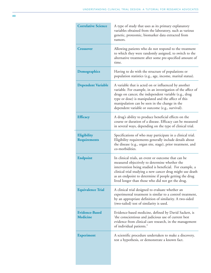| <b>Correlative Science</b>               | A type of study that uses as its primary explanatory<br>variables obtained from the laboratory, such as various<br>genetic, proteomic, biomarker data extracted from<br>tumors.                                                                                                                                                              |
|------------------------------------------|----------------------------------------------------------------------------------------------------------------------------------------------------------------------------------------------------------------------------------------------------------------------------------------------------------------------------------------------|
| <b>Crossover</b>                         | Allowing patients who do not respond to the treatment<br>to which they were randomly assigned, to switch to the<br>alternative treatment after some pre-specified amount of<br>time.                                                                                                                                                         |
| Demographics                             | Having to do with the structure of populations or<br>population statistics (e.g., age, income, marital status).                                                                                                                                                                                                                              |
| <b>Dependent Variable</b>                | A variable that is acted on or influenced by another<br>variable. For example, in an investigation of the affect of<br>drugs on cancer, the independent variable (e.g., drug<br>type or dose) is manipulated and the affect of this<br>manipulation can be seen in the change in the<br>dependent variable or outcome (e.g., survival).      |
| <b>Efficacy</b>                          | A drug's ability to produce beneficial effects on the<br>course or duration of a disease. Efficacy can be measured<br>in several ways, depending on the type of clinical trial.                                                                                                                                                              |
| Eligibility<br><b>Requirements</b>       | Specifications of who may participate in a clinical trial.<br>Eligibility requirements generally include details about<br>the disease (e.g., organ site, stage), prior treatment, and<br>co-morbidities.                                                                                                                                     |
| <b>Endpoint</b>                          | In clinical trials, an event or outcome that can be<br>measured objectively to determine whether the<br>intervention being studied is beneficial. For example, a<br>clinical trial studying a new cancer drug might use death<br>as an endpoint to determine if people getting the drug<br>lived longer than those who did not get the drug. |
| <b>Equivalence Trial</b>                 | A clinical trial designed to evaluate whether an<br>experimental treatment is similar to a control treatment,<br>by an appropriate definition of similarity. A two-sided<br>(two-tailed) test of similarity is used.                                                                                                                         |
| <b>Evidence-Based</b><br><b>Medicine</b> | Evidence-based medicine, defined by David Sackett, is<br>the conscientious and judicious use of current best<br>evidence from clinical care research, in the management<br>of individual patients."                                                                                                                                          |
| <b>Experiment</b>                        | A scientific procedure undertaken to make a discovery,<br>test a hypothesis, or demonstrate a known fact.                                                                                                                                                                                                                                    |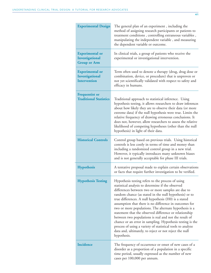| <b>Experimental Design</b>                                       | The general plan of an experiment, including the<br>method of assigning research participants or patients to<br>treatment conditions, controlling extraneous variables,<br>manipulating the independent variable, and measuring<br>the dependent variable or outcome.                                                                                                                                                                                                                                                                                                                                                                                                                                                     |
|------------------------------------------------------------------|---------------------------------------------------------------------------------------------------------------------------------------------------------------------------------------------------------------------------------------------------------------------------------------------------------------------------------------------------------------------------------------------------------------------------------------------------------------------------------------------------------------------------------------------------------------------------------------------------------------------------------------------------------------------------------------------------------------------------|
| <b>Experimental</b> or<br>Investigational<br><b>Group or Arm</b> | In clinical trials, a group of patients who receive the<br>experimental or investigational intervention.                                                                                                                                                                                                                                                                                                                                                                                                                                                                                                                                                                                                                  |
| <b>Experimental or</b><br>Investigational<br><b>Intervention</b> | Term often used to denote a therapy (drug, drug dose or<br>combination, device, or procedure) that is unproven or<br>not yet scientifically validated with respect to safety and<br>efficacy in humans.                                                                                                                                                                                                                                                                                                                                                                                                                                                                                                                   |
| <b>Frequentist or</b><br><b>Traditional Statistics</b>           | Traditional approach to statistical inference. Using<br>hypothesis testing, it allows researchers to draw inferences<br>about how likely they are to observe their data (or more<br>extreme data) if the null hypothesis were true. Limits the<br>relative frequency of drawing erroneous conclusions. It<br>does not, however, allow researchers to assess the relative<br>likelihood of competing hypotheses (other than the null<br>hypothesis) in light of their data.                                                                                                                                                                                                                                                |
| <b>Historical Controls</b>                                       | Control group based on previous trials. Using historical<br>controls is less costly in terms of time and money than<br>including a randomized control group in a new trial.<br>However, it typically introduces many unknown biases<br>and is not generally acceptable for phase III trials.                                                                                                                                                                                                                                                                                                                                                                                                                              |
| <b>Hypothesis</b>                                                | A tentative proposal made to explain certain observations<br>or facts that require further investigation to be verified.                                                                                                                                                                                                                                                                                                                                                                                                                                                                                                                                                                                                  |
| <b>Hypothesis Testing</b>                                        | Hypothesis testing refers to the process of using<br>statistical analysis to determine if the observed<br>differences between two or more samples are due to<br>random chance (as stated in the null hypothesis) or to<br>true differences. A null hypothesis (H0) is a stated<br>assumption that there is no difference in outcomes for<br>two or more populations. The alternate hypothesis is a<br>statement that the observed difference or relationship<br>between two populations is real and not the result of<br>chance or an error in sampling. Hypothesis testing is the<br>process of using a variety of statistical tools to analyze<br>data and, ultimately, to reject or not reject the null<br>hypothesis. |
| <b>Incidence</b>                                                 | The frequency of occurrence or onset of new cases of a<br>disorder as a proportion of a population in a specific<br>time period, usually expressed as the number of new<br>cases per 100,000 per annum.                                                                                                                                                                                                                                                                                                                                                                                                                                                                                                                   |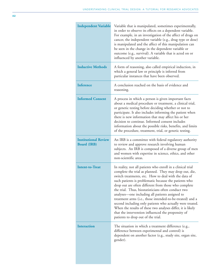| <b>Independent Variable</b>                       | Variable that is manipulated, sometimes experimentally,<br>in order to observe its effects on a dependent variable.<br>For example, in an investigation of the affect of drugs on<br>cancer, the independent variable (e.g., drug type or dose)<br>is manipulated and the affect of this manipulation can<br>be seen in the change in the dependent variable or<br>outcome (e.g., survival). A variable that is acted on or<br>influenced by another variable.                                                                                                                                                                                                                                |
|---------------------------------------------------|-----------------------------------------------------------------------------------------------------------------------------------------------------------------------------------------------------------------------------------------------------------------------------------------------------------------------------------------------------------------------------------------------------------------------------------------------------------------------------------------------------------------------------------------------------------------------------------------------------------------------------------------------------------------------------------------------|
| <b>Inductive Methods</b>                          | A form of reasoning, also called empirical induction, in<br>which a general law or principle is inferred from<br>particular instances that have been observed.                                                                                                                                                                                                                                                                                                                                                                                                                                                                                                                                |
| <b>Inference</b>                                  | A conclusion reached on the basis of evidence and<br>reasoning.                                                                                                                                                                                                                                                                                                                                                                                                                                                                                                                                                                                                                               |
| <b>Informed Consent</b>                           | A process in which a person is given important facts<br>about a medical procedure or treatment, a clinical trial,<br>or genetic testing before deciding whether or not to<br>participate. It also includes informing the patient when<br>there is new information that may affect his or her<br>decision to continue. Informed consent includes<br>information about the possible risks, benefits, and limits<br>of the procedure, treatment, trial, or genetic testing.                                                                                                                                                                                                                      |
| <b>Institutional Review</b><br><b>Board</b> (IRB) | An IRB is a committee with federal regulatory authority<br>to review and approve research involving human<br>subjects. An IRB is composed of a diverse group of men<br>and women with expertise in science, ethics, and other<br>non-scientific areas.                                                                                                                                                                                                                                                                                                                                                                                                                                        |
| <b>Intent-to-Treat</b>                            | In reality, not all patients who enroll in a clinical trial<br>complete the trial as planned. They may drop out, die,<br>switch treatments, etc. How to deal with the data of<br>such patients is problematic because the patients who<br>drop out are often different from those who complete<br>the trial. Thus, biostatisticians often conduct two<br>analyses—one including all patients assigned to<br>treatment arms (i.e., those intended-to-be-treated) and a<br>second including only patients who actually were treated.<br>When the results of these two analyses differ, it is likely<br>that the intervention influenced the propensity of<br>patients to drop out of the trial. |
| <b>Interaction</b>                                | The situation in which a treatment difference (e.g.,<br>difference between experimental and control) is<br>dependent on another factor (e.g., study site, organ site,<br>gender).                                                                                                                                                                                                                                                                                                                                                                                                                                                                                                             |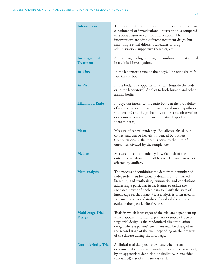| <b>Intervention</b>                 | The act or instance of intervening. In a clinical trial, an<br>experimental or investigational intervention is compared<br>to a comparison or control intervention. The<br>interventions are often different treatment drugs, but<br>may simple entail different schedules of drug<br>administration, supportive therapies, etc.                                                                                                                |
|-------------------------------------|-------------------------------------------------------------------------------------------------------------------------------------------------------------------------------------------------------------------------------------------------------------------------------------------------------------------------------------------------------------------------------------------------------------------------------------------------|
| Investigational<br><b>Treatment</b> | A new drug, biological drug, or combination that is used<br>in a clinical investigation.                                                                                                                                                                                                                                                                                                                                                        |
| In Vitro                            | In the laboratory (outside the body). The opposite of in<br><i>vivo</i> (in the body).                                                                                                                                                                                                                                                                                                                                                          |
| In Vivo                             | In the body. The opposite of in vitro (outside the body<br>or in the laboratory). Applies to both human and other<br>animal bodies.                                                                                                                                                                                                                                                                                                             |
| <b>Likelihood Ratio</b>             | In Bayesian inference, the ratio between the probability<br>of an observation or datum conditional on a hypothesis<br>(numerator) and the probability of the same observation<br>or datum conditional on an alternative hypothesis<br>(denominator).                                                                                                                                                                                            |
| <b>Mean</b>                         | Measure of central tendency. Equally weighs all out-<br>comes, and can be heavily influenced by outliers.<br>Computationally, the mean is equal to the sum of<br>outcomes, divided by the sample size.                                                                                                                                                                                                                                          |
| <b>Median</b>                       | Measure of central tendency in which half of the<br>outcomes are above and half below. The median is not<br>affected by outliers.                                                                                                                                                                                                                                                                                                               |
| Meta-analysis                       | The process of combining the data from a number of<br>independent studies (usually drawn from published<br>literature) and synthesizing summaries and conclusions<br>addressing a particular issue. It aims to utilize the<br>increased power of pooled data to clarify the state of<br>knowledge on that issue. Meta analysis is often used in<br>systematic reviews of studies of medical therapies to<br>evaluate therapeutic effectiveness. |
| <b>Multi-Stage Trial</b><br>Design  | Trials in which later stages of the trial are dependent up<br>what happens in earlier stages. An example of a two-<br>stage trial design is the randomized discontinuation<br>design where a patient's treatment may be changed in<br>the second stage of the trial, depending on the progress<br>of the disease during the first stage.                                                                                                        |
| <b>Non-inferiority Trial</b>        | A clinical trial designed to evaluate whether an<br>experimental treatment is similar to a control treatment,<br>by an appropriate definition of similarity. A one-sided<br>(one-tailed) test of similarity is used.                                                                                                                                                                                                                            |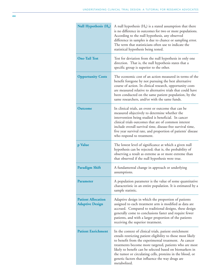| Null Hypothesis $(H_0)$                             | A null hypothesis $(H_0)$ is a stated assumption that there<br>is no difference in outcomes for two or more populations.<br>According to the null hypothesis, any observed<br>difference in samples is due to chance or sampling error.<br>The term that statisticians often use to indicate the<br>statistical hypothesis being tested.                                                                                              |
|-----------------------------------------------------|---------------------------------------------------------------------------------------------------------------------------------------------------------------------------------------------------------------------------------------------------------------------------------------------------------------------------------------------------------------------------------------------------------------------------------------|
| <b>One-Tail Test</b>                                | Test for deviation from the null hypothesis in only one<br>direction. That is, the null hypothesis states that a<br>specific group is superior to the other.                                                                                                                                                                                                                                                                          |
| <b>Opportunity Costs</b>                            | The economic cost of an action measured in terms of the<br>benefit foregone by not pursuing the best alternative<br>course of action. In clinical research, opportunity costs<br>are measured relative to alternative trials that could have<br>been conducted on the same patient population, by the<br>same researchers, and/or with the same funds.                                                                                |
| <b>Outcome</b>                                      | In clinical trials, an event or outcome that can be<br>measured objectively to determine whether the<br>intervention being studied is beneficial. In cancer<br>clinical trials outcomes that are of common interest<br>include overall survival time, disease-free survival time,<br>five year survival rate, and proportion of patients' disease<br>who respond to treatment.                                                        |
| p Value                                             | The lowest level of significance at which a given null<br>hypothesis can be rejected; that is, the probability of<br>observing a result as extreme as or more extreme than<br>that observed if the null hypothesis were true.                                                                                                                                                                                                         |
| <b>Paradigm Shift</b>                               | A fundamental change in approach or underlying<br>assumptions.                                                                                                                                                                                                                                                                                                                                                                        |
| <b>Parameter</b>                                    | A population parameter is the value of some quantitative<br>characteristic in an entire population. It is estimated by a<br>sample statistic.                                                                                                                                                                                                                                                                                         |
| <b>Patient Allocation</b><br><b>Adaptive Design</b> | Adaptive design in which the proportion of patients<br>assigned to each treatment arm is modified as data are<br>accrued. Compared to traditional designs, these design<br>generally come to conclusions faster and require fewer<br>patients, and with a larger proportion of the patients<br>receiving the superior treatment.                                                                                                      |
| <b>Patient Enrichment</b>                           | In the context of clinical trials, patient enrichment<br>entails restricting patient eligibility to those most likely<br>to benefit from the experimental treatment. As cancer<br>treatments become more targeted, patients who are most<br>likely to benefit can be selected based on biomarkers in<br>the tumor or circulating cells, proteins in the blood, or<br>genetic factors that influence the way drugs are<br>metabolized. |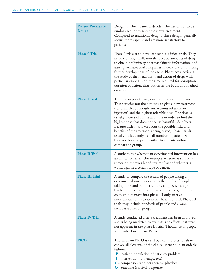| <b>Patient Preference</b><br>Design | Design in which patients decides whether or not to be<br>randomized, or to select their own treatment.<br>Compared to traditional designs, these designs generally<br>accrue more rapidly and are more satisfactory to<br>patients.                                                                                                                                                                                                                                                                                                                                                                       |
|-------------------------------------|-----------------------------------------------------------------------------------------------------------------------------------------------------------------------------------------------------------------------------------------------------------------------------------------------------------------------------------------------------------------------------------------------------------------------------------------------------------------------------------------------------------------------------------------------------------------------------------------------------------|
| <b>Phase 0 Trial</b>                | Phase 0 trials are a novel concept in clinical trials. They<br>involve testing small, non therapeutic amounts of drug<br>to obtain preliminary pharmacokinetic information, and<br>assist pharmaceutical companies in decisions on pursuing<br>further development of the agent. Pharmacokinetics is<br>the study of the metabolism and action of drugs with<br>particular emphasis on the time required for absorption,<br>duration of action, distribution in the body, and method<br>excretion.                                                                                                        |
| <b>Phase I Trial</b>                | The first step in testing a new treatment in humans.<br>These studies test the best way to give a new treatment<br>(for example, by mouth, intravenous infusion, or<br>injection) and the highest tolerable dose. The dose is<br>usually increased a little at a time in order to find the<br>highest dose that does not cause harmful side effects.<br>Because little is known about the possible risks and<br>benefits of the treatments being tested, Phase I trials<br>usually include only a small number of patients who<br>have not been helped by other treatments without a<br>comparison group. |
| <b>Phase II Trial</b>               | A study to test whether an experimental intervention has<br>an anticancer effect (for example, whether it shrinks a<br>tumor or improves blood test results) and whether it<br>works against a certain type of cancer.                                                                                                                                                                                                                                                                                                                                                                                    |
| <b>Phase III Trial</b>              | A study to compare the results of people taking an<br>experimental intervention with the results of people<br>taking the standard of care (for example, which group<br>has better survival rates or fewer side effects). In most<br>cases, studies move into phase III only after an<br>intervention seems to work in phases I and II. Phase III<br>trials may include hundreds of people and always<br>includes a control group.                                                                                                                                                                         |
| <b>Phase IV Trial</b>               | A study conducted after a treatment has been approved<br>and is being marketed to evaluate side effects that were<br>not apparent in the phase III trial. Thousands of people<br>are involved in a phase IV trial.                                                                                                                                                                                                                                                                                                                                                                                        |
| <b>PICO</b>                         | The acronym PICO is used by health professionals to<br>convey all elements of the clinical scenario in an orderly<br>fashion:<br>P - patient, population of patients, problem<br>I - intervention (a therapy, test)<br>C - comparison (another therapy, placebo)<br>O - outcome (survival, response)                                                                                                                                                                                                                                                                                                      |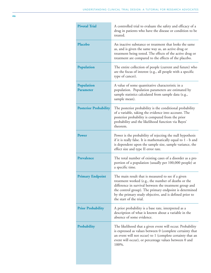| <b>Pivotal Trial</b>                  | A controlled trial to evaluate the safety and efficacy of a<br>drug in patients who have the disease or condition to be<br>treated.                                                                                                                                                                                 |
|---------------------------------------|---------------------------------------------------------------------------------------------------------------------------------------------------------------------------------------------------------------------------------------------------------------------------------------------------------------------|
| Placebo                               | An inactive substance or treatment that looks the same<br>as, and is given the same way as, an active drug or<br>treatment being tested. The effects of the active drug or<br>treatment are compared to the effects of the placebo.                                                                                 |
| Population                            | The entire collection of people (current and future) who<br>are the focus of interest (e.g., all people with a specific<br>type of cancer).                                                                                                                                                                         |
| <b>Population</b><br><b>Parameter</b> | A value of some quantitative characteristic in a<br>population. Population parameters are estimated by<br>sample statistics calculated from sample data (e.g.,<br>sample mean).                                                                                                                                     |
| <b>Posterior Probability</b>          | The posterior probability is the conditional probability<br>of a variable, taking the evidence into account. The<br>posterior probability is computed from the prior<br>probability and the likelihood function via Bayes'<br>theorem.                                                                              |
| <b>Power</b>                          | Power is the probability of rejecting the null hypothesis<br>if it is really false. It is mathematically equal to 1 - b and<br>is dependent upon the sample size, sample variance, the<br>effect size and type II error rate.                                                                                       |
| Prevalence                            | The total number of existing cases of a disorder as a pro<br>portion of a population (usually per 100,000 people) at<br>a specific time.                                                                                                                                                                            |
| <b>Primary Endpoint</b>               | The main result that is measured to see if a given<br>treatment worked (e.g., the number of deaths or the<br>difference in survival between the treatment group and<br>the control group). The primary endpoint is determined<br>by the primary study objective, and is defined prior to<br>the start of the trial. |
| <b>Prior Probability</b>              | A prior probability is a base rate, interpreted as a<br>description of what is known about a variable in the<br>absence of some evidence.                                                                                                                                                                           |
| Probability                           | The likelihood that a given event will occur. Probability<br>is expressed as values between 0 (complete certainty that<br>an event will not occur) to 1 (complete certainty that an<br>event will occur), or percentage values between 0 and<br>100%.                                                               |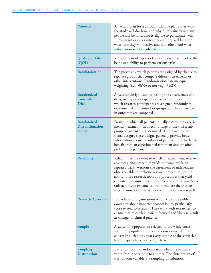| <b>Protocol</b>                                        | An action plan for a clinical trial. The plan states what<br>the study will do, how, and why. It explains how many<br>people will be in it, who is eligible to participate, what<br>study agents or other interventions they will be given,<br>what tests they will receive and how often, and what<br>information will be gathered.                                                                                                                                              |
|--------------------------------------------------------|-----------------------------------------------------------------------------------------------------------------------------------------------------------------------------------------------------------------------------------------------------------------------------------------------------------------------------------------------------------------------------------------------------------------------------------------------------------------------------------|
| <b>Quality of Life</b><br>(QOL)                        | Measurement of aspects of an individual's sense of well-<br>being and ability to perform various tasks.                                                                                                                                                                                                                                                                                                                                                                           |
| Randomization                                          | The process by which patients are assigned by chance to<br>separate groups that compare different treatments or<br>other interventions. Randomization can use equal<br>weighting (i.e., 50:50) or not (e.g., 75:25)                                                                                                                                                                                                                                                               |
| <b>Randomized</b><br><b>Controlled</b><br><b>Trial</b> | A research design used for testing the effectiveness of a<br>drug, or any other type of experimental intervention, in<br>which research participants are assigned randomly to<br>experimental and control or groups and the differences<br>in outcomes are compared.                                                                                                                                                                                                              |
| <b>Randomized</b><br><b>Discontinuation</b><br>Design  | Design in which all patients initially receive the experi-<br>mental treatment. In a second stage of the trial a sub-<br>group of patients is randomized. Compared to tradi-<br>tional designs, these designs generally provide better<br>information about the sub-set of patients most likely to<br>benefit from an experimental treatment and are often<br>preferred by patients.                                                                                              |
| <b>Reliability</b>                                     | Reliability is the extent to which an experiment, test, or<br>any measuring procedure yields the same result on<br>repeated trials. Without the agreement of independent<br>observers able to replicate research procedures, or the<br>ability to use research tools and procedures that yield<br>consistent measurements, researchers would be unable to<br>satisfactorily draw conclusions, formulate theories, or<br>make claims about the generalizability of their research. |
| <b>Research Advocate</b>                               | Individuals or organizations who try to raise public<br>awareness about important cancer issues, particularly<br>those related to research. They work with researchers to<br>ensure that research is patient focused and likely to result<br>in changes in clinical practice.                                                                                                                                                                                                     |
| <b>Sample</b>                                          | A subset of a population selected to draw inferences<br>about the population. It is a random sample if it is<br>chosen in such a way that every sample of the same size<br>has an equal chance of being selected.                                                                                                                                                                                                                                                                 |
| <b>Sampling</b><br><b>Distribution</b>                 | Every statistic is a random variable because its value<br>varies from one sample to another. The distribution of<br>this random variable is a sampling distribution.                                                                                                                                                                                                                                                                                                              |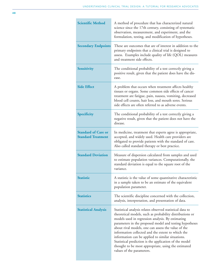| <b>Scientific Method</b>                                | A method of procedure that has characterized natural<br>science since the 17th century, consisting of systematic<br>observation, measurement, and experiment, and the<br>formulation, testing, and modification of hypotheses.                                                                                                                                                                                                                                                                                                                       |
|---------------------------------------------------------|------------------------------------------------------------------------------------------------------------------------------------------------------------------------------------------------------------------------------------------------------------------------------------------------------------------------------------------------------------------------------------------------------------------------------------------------------------------------------------------------------------------------------------------------------|
| <b>Secondary Endpoints</b>                              | These are outcomes that are of interest in addition to the<br>primary endpoints that a clinical trial is designed to<br>assess. Examples include quality of life (QOL) measures<br>and treatment side effects.                                                                                                                                                                                                                                                                                                                                       |
| <b>Sensitivity</b>                                      | The conditional probability of a test correctly giving a<br>positive result, given that the patient does have the dis-<br>ease.                                                                                                                                                                                                                                                                                                                                                                                                                      |
| <b>Side Effect</b>                                      | A problem that occurs when treatment affects healthy<br>tissues or organs. Some common side effects of cancer<br>treatment are fatigue, pain, nausea, vomiting, decreased<br>blood cell counts, hair loss, and mouth sores. Serious<br>side effects are often referred to as adverse events.                                                                                                                                                                                                                                                         |
| Specificity                                             | The conditional probability of a test correctly giving a<br>negative result, given that the patient does not have the<br>disease.                                                                                                                                                                                                                                                                                                                                                                                                                    |
| <b>Standard of Care or</b><br><b>Standard Treatment</b> | In medicine, treatment that experts agree is appropriate,<br>accepted, and widely used. Health care providers are<br>obligated to provide patients with the standard of care.<br>Also called standard therapy or best practice.                                                                                                                                                                                                                                                                                                                      |
| <b>Standard Deviation</b>                               | Measure of dispersion calculated from samples and used<br>to estimate population variances. Computationally, the<br>standard deviation is equal to the square root of the<br>variance.                                                                                                                                                                                                                                                                                                                                                               |
| <b>Statistic</b>                                        | A statistic is the value of some quantitative characteristic<br>in a sample taken to be an estimate of the equivalent<br>population parameter.                                                                                                                                                                                                                                                                                                                                                                                                       |
| <b>Statistics</b>                                       | The scientific discipline concerned with the collection,<br>analysis, interpretation, and presentation of data.                                                                                                                                                                                                                                                                                                                                                                                                                                      |
| <b>Statistical Analysis</b>                             | Statistical analysis relates observed statistical data to<br>theoretical models, such as probability distributions or<br>models used in regression analysis. By estimating<br>parameters in the proposed model and testing hypotheses<br>about rival models, one can assess the value of the<br>information collected and the extent to which the<br>information can be applied to similar situations.<br>Statistical prediction is the application of the model<br>thought to be most appropriate, using the estimated<br>values of the parameters. |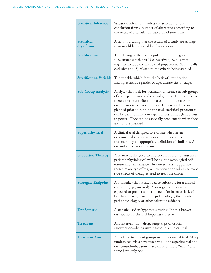| <b>Statistical Inference</b>       | Statistical inference involves the selection of one<br>conclusion from a number of alternatives according to<br>the result of a calculation based on observations.                                                                                                                                                                                                                                                                                      |
|------------------------------------|---------------------------------------------------------------------------------------------------------------------------------------------------------------------------------------------------------------------------------------------------------------------------------------------------------------------------------------------------------------------------------------------------------------------------------------------------------|
| <b>Statistical</b><br>Significance | A term indicating that the results of a study are stronger<br>than would be expected by chance alone.                                                                                                                                                                                                                                                                                                                                                   |
| <b>Stratification</b>              | The placing of the trial population into categories<br>(i.e., strata) which are: 1) exhaustive (i.e., all strata<br>together include the entire trial population); 2) mutually<br>exclusive and; 3) related to the criteria being studied.                                                                                                                                                                                                              |
| <b>Stratification Variable</b>     | The variable which form the basis of stratification.<br>Examples include gender or age, disease site or stage.                                                                                                                                                                                                                                                                                                                                          |
| <b>Sub-Group Analysis</b>          | Analyses that look for treatment difference in sub-groups<br>of the experimental and control groups. For example, is<br>there a treatment effect in males but not females or in<br>one organ site but not another. If these analyses are<br>planned prior to running the trial, statistical procedures<br>can be used to limit a or type I errors, although at a cost<br>to power. They can be especially problematic when they<br>are not pre-planned. |
| <b>Superiority Trial</b>           | A clinical trial designed to evaluate whether an<br>experimental treatment is superior to a control<br>treatment, by an appropriate definition of similarity. A<br>one-sided test would be used.                                                                                                                                                                                                                                                        |
| <b>Supportive Therapy</b>          | A treatment designed to improve, reinforce, or sustain a<br>patient's physiological well-being or psychological self-<br>esteem and self-reliance. In cancer trials, supportive<br>therapies are typically given to prevent or minimize toxic<br>side-effects of therapies used to treat the cancer.                                                                                                                                                    |
| <b>Surrogate Endpoint</b>          | A biomarker that is intended to substitute for a clinical<br>endpoint (e.g., survival). A surrogate endpoint is<br>expected to predict clinical benefit (or harm or lack of<br>benefit or harm) based on epidemiologic, therapeutic,<br>pathophysiologic, or other scientific evidence.                                                                                                                                                                 |
| <b>Test Statistic</b>              | A statistic used in hypothesis testing. It has a known<br>distribution if the null hypothesis is true.                                                                                                                                                                                                                                                                                                                                                  |
| <b>Treatment</b>                   | Any intervention—drug, surgery, psychosocial<br>intervention—being investigated in a clinical trial.                                                                                                                                                                                                                                                                                                                                                    |
| <b>Treatment Arm</b>               | Any of the treatment groups in a randomized trial. Many<br>randomized trials have two arms-one experimental and<br>one control—but some have three or more "arms," and<br>some have only one.                                                                                                                                                                                                                                                           |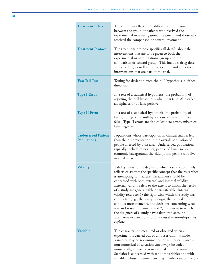| <b>Treatment Effect</b>                          | The treatment effect is the difference in outcomes<br>between the group of patients who received the<br>experimental or investigational treatment and those who<br>received the comparison or control treatment.                                                                                                                                                                                                                                                                                                                                                                                                                                                                                                                  |
|--------------------------------------------------|-----------------------------------------------------------------------------------------------------------------------------------------------------------------------------------------------------------------------------------------------------------------------------------------------------------------------------------------------------------------------------------------------------------------------------------------------------------------------------------------------------------------------------------------------------------------------------------------------------------------------------------------------------------------------------------------------------------------------------------|
| <b>Treatment Protocol</b>                        | The treatment protocol specifies all details about the<br>interventions that are to be given to both the<br>experimental or investigational group and the<br>comparison or control group. This includes drug dose<br>and schedule, as well as test procedures and any other<br>interventions that are part of the trial.                                                                                                                                                                                                                                                                                                                                                                                                          |
| <b>Two Tail Test</b>                             | Testing for deviation from the null hypothesis in either<br>direction.                                                                                                                                                                                                                                                                                                                                                                                                                                                                                                                                                                                                                                                            |
| <b>Type I Error</b>                              | In a test of a statistical hypothesis, the probability of<br>rejecting the null hypothesis when it is true. Also called<br>an alpha error or false positive.                                                                                                                                                                                                                                                                                                                                                                                                                                                                                                                                                                      |
| <b>Type II Error</b>                             | In a test of a statistical hypothesis, the probability of<br>failing to reject the null hypothesis when it is in fact<br>false. Type II errors are also called beta errors, misses or<br>false negatives.                                                                                                                                                                                                                                                                                                                                                                                                                                                                                                                         |
| <b>Underserved Patient</b><br><b>Populations</b> | Populations whose participation in clinical trials is less<br>than their representation in the overall population of<br>people affected by a disease. Underserved populations<br>typically include minorities, people of lower socio-<br>economic background, the elderly, and people who live<br>in rural areas.                                                                                                                                                                                                                                                                                                                                                                                                                 |
| <b>Validity</b>                                  | Validity refers to the degree to which a study accurately<br>reflects or assesses the specific concept that the researcher<br>is attempting to measure. Researchers should be<br>concerned with both external and internal validity.<br>External validity refers to the extent to which the results<br>of a study are generalizable or transferable. Internal<br>validity refers to: 1) the rigor with which the study was<br>conducted (e.g., the study's design, the care taken to<br>conduct measurements, and decisions concerning what<br>was and wasn't measured); and 2) the extent to which<br>the designers of a study have taken into account<br>alternative explanations for any causal relationships they<br>explore. |
| <b>Variable</b>                                  | The characteristic measured or observed when an<br>experiment is carried out or an observation is made.<br>Variables may be non-numerical or numerical. Since a<br>non-numerical observation can always be coded<br>numerically, a variable is usually taken to be numerical.<br>Statistics is concerned with random variables and with<br>variables whose measurement may involve random errors                                                                                                                                                                                                                                                                                                                                  |

m.

 $\sim$ 

the control of the control of the control of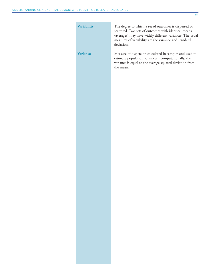÷

| Variability     | The degree to which a set of outcomes is dispersed or<br>scattered. Two sets of outcomes with identical means<br>(averages) may have widely different variances. The usual<br>measures of variability are the variance and standard<br>deviation. |
|-----------------|---------------------------------------------------------------------------------------------------------------------------------------------------------------------------------------------------------------------------------------------------|
| <b>Variance</b> | Measure of dispersion calculated in samples and used to<br>estimate population variances. Computationally, the<br>variance is equal to the average squared deviation from<br>the mean.                                                            |
|                 |                                                                                                                                                                                                                                                   |
|                 |                                                                                                                                                                                                                                                   |
|                 |                                                                                                                                                                                                                                                   |
|                 |                                                                                                                                                                                                                                                   |
|                 |                                                                                                                                                                                                                                                   |
|                 |                                                                                                                                                                                                                                                   |
|                 |                                                                                                                                                                                                                                                   |